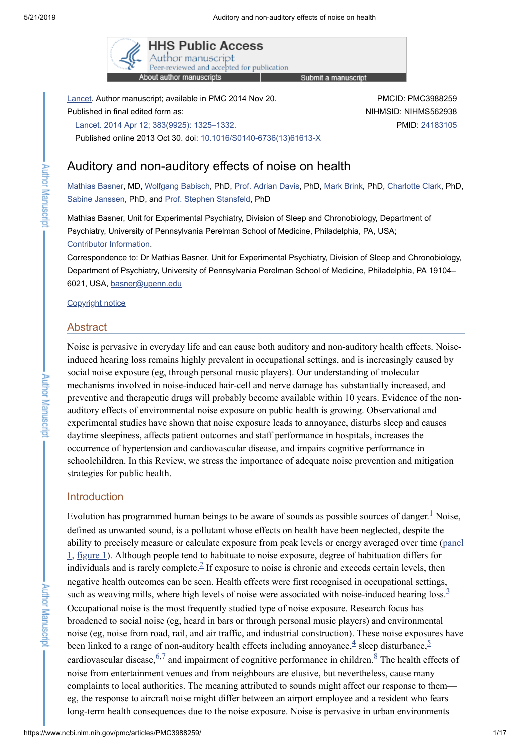

Lancet. Author manuscript; available in PMC 2014 Nov 20. Published in final edited form as: Lancet. 2014 Apr 12; 383(9925): [1325–1332.](https://www.ncbi.nlm.nih.gov/entrez/eutils/elink.fcgi?dbfrom=pubmed&retmode=ref&cmd=prlinks&id=24183105) Published online 2013 Oct 30. doi: [10.1016/S0140-6736\(13\)61613-X](https://dx.doi.org/10.1016%2FS0140-6736(13)61613-X)

PMCID: PMC3988259 NIHMSID: NIHMS562938 PMID: [24183105](https://www.ncbi.nlm.nih.gov/pubmed/24183105)

# Auditory and non-auditory effects of noise on health

[Mathias](https://www.ncbi.nlm.nih.gov/pubmed/?term=Basner%20M%5BAuthor%5D&cauthor=true&cauthor_uid=24183105) Basner, MD, [Wolfgang](https://www.ncbi.nlm.nih.gov/pubmed/?term=Babisch%20W%5BAuthor%5D&cauthor=true&cauthor_uid=24183105) Babisch, PhD, Prof. [Adrian](https://www.ncbi.nlm.nih.gov/pubmed/?term=Davis%20A%5BAuthor%5D&cauthor=true&cauthor_uid=24183105) Davis, PhD, Mark [Brink,](https://www.ncbi.nlm.nih.gov/pubmed/?term=Brink%20M%5BAuthor%5D&cauthor=true&cauthor_uid=24183105) PhD, [Charlotte](https://www.ncbi.nlm.nih.gov/pubmed/?term=Clark%20C%5BAuthor%5D&cauthor=true&cauthor_uid=24183105) Clark, PhD, Sabine [Janssen,](https://www.ncbi.nlm.nih.gov/pubmed/?term=Janssen%20S%5BAuthor%5D&cauthor=true&cauthor_uid=24183105) PhD, and Prof. Stephen [Stansfeld,](https://www.ncbi.nlm.nih.gov/pubmed/?term=Stansfeld%20S%5BAuthor%5D&cauthor=true&cauthor_uid=24183105) PhD

Mathias Basner, Unit for Experimental Psychiatry, Division of Sleep and Chronobiology, Department of Psychiatry, University of Pennsylvania Perelman School of Medicine, Philadelphia, PA, USA; Contributor [Information.](#page-11-0)

Correspondence to: Dr Mathias Basner, Unit for Experimental Psychiatry, Division of Sleep and Chronobiology, Department of Psychiatry, University of Pennsylvania Perelman School of Medicine, Philadelphia, PA 19104– 6021, USA, [basner@upenn.edu](mailto:dev@null)

[Copyright](https://www.ncbi.nlm.nih.gov/pmc/about/copyright/) notice

### **Abstract**

Noise is pervasive in everyday life and can cause both auditory and non-auditory health effects. Noiseinduced hearing loss remains highly prevalent in occupational settings, and is increasingly caused by social noise exposure (eg, through personal music players). Our understanding of molecular mechanisms involved in noise-induced hair-cell and nerve damage has substantially increased, and preventive and therapeutic drugs will probably become available within 10 years. Evidence of the nonauditory effects of environmental noise exposure on public health is growing. Observational and experimental studies have shown that noise exposure leads to annoyance, disturbs sleep and causes daytime sleepiness, affects patient outcomes and staff performance in hospitals, increases the occurrence of hypertension and cardiovascular disease, and impairs cognitive performance in schoolchildren. In this Review, we stress the importance of adequate noise prevention and mitigation strategies for public health.

# **Introduction**

Evolution has programmed human beings to be aware of sounds as possible sources of danger.<sup>[1](#page-11-1)</sup> Noise, defined as unwanted sound, is a pollutant whose effects on health have been neglected, despite the ability to precisely measure or calculate exposure from peak levels or energy averaged over time (panel 1, [figure](https://www.ncbi.nlm.nih.gov/pmc/articles/PMC3988259/figure/F1/) 1). Although people tend to habituate to noise exposure, degree of [habituation](#page-1-0) differs for individuals and is rarely complete. $\frac{2}{5}$  $\frac{2}{5}$  $\frac{2}{5}$  If exposure to noise is chronic and exceeds certain levels, then negative health outcomes can be seen. Health effects were first recognised in occupational settings, such as weaving mills, where high levels of noise were associated with noise-induced hearing loss. $3/3$  $3/3$ Occupational noise is the most frequently studied type of noise exposure. Research focus has broadened to social noise (eg, heard in bars or through personal music players) and environmental noise (eg, noise from road, rail, and air traffic, and industrial construction). These noise exposures have been linked to a range of non-auditory health effects including annoyance,  $\frac{4}{3}$  $\frac{4}{3}$  $\frac{4}{3}$  sleep disturbance,  $\frac{5}{3}$  $\frac{5}{3}$  $\frac{5}{3}$ cardiovascular disease,  $\frac{6.7}{2}$  $\frac{6.7}{2}$  $\frac{6.7}{2}$  and impairment of cognitive performance in children.  $\frac{8}{5}$  $\frac{8}{5}$  $\frac{8}{5}$  The health effects of noise from entertainment venues and from neighbours are elusive, but nevertheless, cause many complaints to local authorities. The meaning attributed to sounds might affect our response to them eg, the response to aircraft noise might differ between an airport employee and a resident who fears long-term health consequences due to the noise exposure. Noise is pervasive in urban environments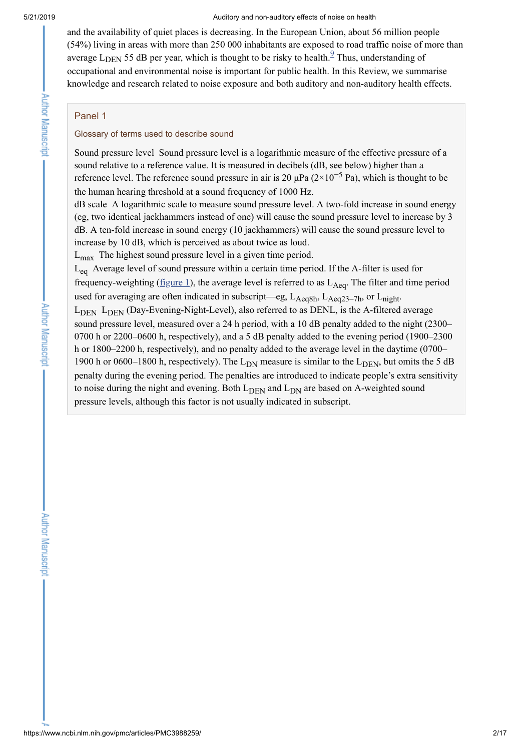#### 5/21/2019 Auditory and non-auditory effects of noise on health

and the availability of quiet places is decreasing. In the European Union, about 56 million people (54%) living in areas with more than 250 000 inhabitants are exposed to road traffic noise of more than average  $L_{\text{DEN}}$  55 dB per year, which is thought to be risky to health.<sup>[9](#page-12-0)</sup> Thus, understanding of occupational and environmental noise is important for public health. In this Review, we summarise knowledge and research related to noise exposure and both auditory and non-auditory health effects.

# <span id="page-1-0"></span>Panel 1

# Glossary of terms used to describe sound

Sound pressure level Sound pressure level is a logarithmic measure of the effective pressure of a sound relative to a reference value. It is measured in decibels (dB, see below) higher than a reference level. The reference sound pressure in air is 20  $\mu$ Pa (2×10<sup>-5</sup> Pa), which is thought to be the human hearing threshold at a sound frequency of 1000 Hz.

dB scale A logarithmic scale to measure sound pressure level. A two-fold increase in sound energy (eg, two identical jackhammers instead of one) will cause the sound pressure level to increase by 3 dB. A ten-fold increase in sound energy (10 jackhammers) will cause the sound pressure level to increase by 10 dB, which is perceived as about twice as loud.

 $L_{\text{max}}$  The highest sound pressure level in a given time period.

 $L_{eq}$  Average level of sound pressure within a certain time period. If the A-filter is used for frequency-weighting ( $\underline{figure 1}$ ), the average level is referred to as  $L_{Aeq}$ . The filter and time period used for averaging are often indicated in subscript—eg,  $L_{Aeq8h}$ ,  $L_{Aeq23-7h}$ , or  $L_{night}$ .  $L_{\text{DEN}}$   $L_{\text{DEN}}$  (Day-Evening-Night-Level), also referred to as DENL, is the A-filtered average sound pressure level, measured over a 24 h period, with a 10 dB penalty added to the night (2300– 0700 h or 2200–0600 h, respectively), and a 5 dB penalty added to the evening period (1900–2300 h or 1800–2200 h, respectively), and no penalty added to the average level in the daytime (0700– 1900 h or 0600–1800 h, respectively). The  $L_{DN}$  measure is similar to the  $L_{DEN}$ , but omits the 5 dB penalty during the evening period. The penalties are introduced to indicate people's extra sensitivity to noise during the night and evening. Both  $L_{\text{DEN}}$  and  $L_{\text{DN}}$  are based on A-weighted sound pressure levels, although this factor is not usually indicated in subscript.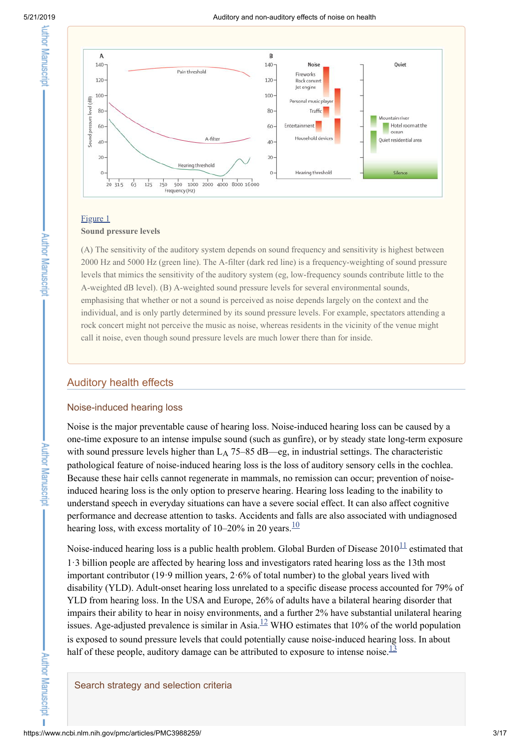**Author Manuscript** 

**Author Manuscript** 

**Author Manuscript** 

T



# [Figure](https://www.ncbi.nlm.nih.gov/pmc/articles/PMC3988259/figure/F1/) 1

# **Sound pressure levels**

(A) The sensitivity of the auditory system depends on sound frequency and sensitivity is highest between 2000 Hz and 5000 Hz (green line). The A-filter (dark red line) is a frequency-weighting of sound pressure levels that mimics the sensitivity of the auditory system (eg, low-frequency sounds contribute little to the A-weighted dB level). (B) A-weighted sound pressure levels for several environmental sounds, emphasising that whether or not a sound is perceived as noise depends largely on the context and the individual, and is only partly determined by its sound pressure levels. For example, spectators attending a rock concert might not perceive the music as noise, whereas residents in the vicinity of the venue might call it noise, even though sound pressure levels are much lower there than for inside.

# Auditory health effects

# Noise-induced hearing loss

Noise is the major preventable cause of hearing loss. Noise-induced hearing loss can be caused by a one-time exposure to an intense impulse sound (such as gunfire), or by steady state long-term exposure with sound pressure levels higher than  $L_A$  75–85 dB—eg, in industrial settings. The characteristic pathological feature of noise-induced hearing loss is the loss of auditory sensory cells in the cochlea. Because these hair cells cannot regenerate in mammals, no remission can occur; prevention of noiseinduced hearing loss is the only option to preserve hearing. Hearing loss leading to the inability to understand speech in everyday situations can have a severe social effect. It can also affect cognitive performance and decrease attention to tasks. Accidents and falls are also associated with undiagnosed hearing loss, with excess mortality of  $10-20\%$  $10-20\%$  in 20 years. $\frac{10}{10}$ 

Noise-induced hearing loss is a public health problem. Global Burden of Disease  $2010^{\frac{11}{1}}$  $2010^{\frac{11}{1}}$  $2010^{\frac{11}{1}}$  estimated that 1·3 billion people are affected by hearing loss and investigators rated hearing loss as the 13th most important contributor (19·9 million years, 2·6% of total number) to the global years lived with disability (YLD). Adult-onset hearing loss unrelated to a specific disease process accounted for 79% of YLD from hearing loss. In the USA and Europe, 26% of adults have a bilateral hearing disorder that impairs their ability to hear in noisy environments, and a further 2% have substantial unilateral hearing issues. Age-adjusted prevalence is similar in Asia. $^{12}$  $^{12}$  $^{12}$  WHO estimates that 10% of the world population is exposed to sound pressure levels that could potentially cause noise-induced hearing loss. In about half of these people, auditory damage can be attributed to exposure to intense noise.  $\frac{13}{13}$  $\frac{13}{13}$  $\frac{13}{13}$ 

## Search strategy and selection criteria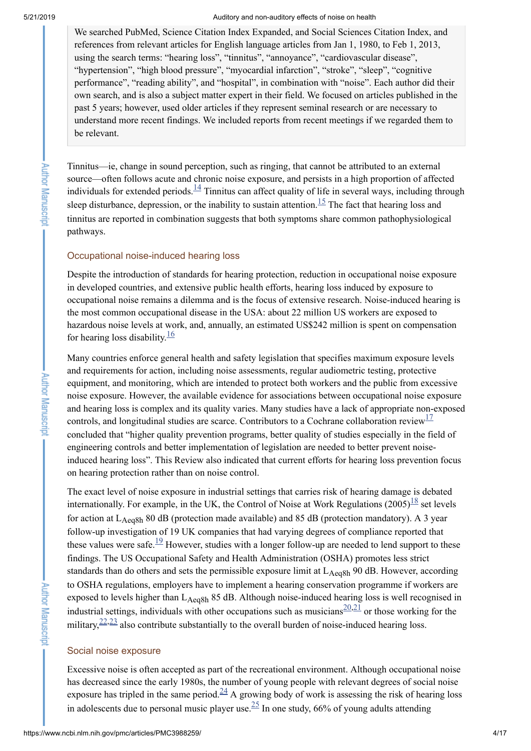**Author Manuscript** 

**Author Manuscript** 

5/21/2019 Auditory and non-auditory effects of noise on health

We searched PubMed, Science Citation Index Expanded, and Social Sciences Citation Index, and references from relevant articles for English language articles from Jan 1, 1980, to Feb 1, 2013, using the search terms: "hearing loss", "tinnitus", "annoyance", "cardiovascular disease", "hypertension", "high blood pressure", "myocardial infarction", "stroke", "sleep", "cognitive performance", "reading ability", and "hospital", in combination with "noise". Each author did their own search, and is also a subject matter expert in their field. We focused on articles published in the past 5 years; however, used older articles if they represent seminal research or are necessary to understand more recent findings. We included reports from recent meetings if we regarded them to be relevant.

Tinnitus—ie, change in sound perception, such as ringing, that cannot be attributed to an external source—often follows acute and chronic noise exposure, and persists in a high proportion of affected individuals for extended periods. $\frac{14}{11}$  $\frac{14}{11}$  $\frac{14}{11}$  Tinnitus can affect quality of life in several ways, including through sleep disturbance, depression, or the inability to sustain attention.<sup>[15](#page-12-6)</sup> The fact that hearing loss and tinnitus are reported in combination suggests that both symptoms share common pathophysiological pathways.

# Occupational noise-induced hearing loss

Despite the introduction of standards for hearing protection, reduction in occupational noise exposure in developed countries, and extensive public health efforts, hearing loss induced by exposure to occupational noise remains a dilemma and is the focus of extensive research. Noise-induced hearing is the most common occupational disease in the USA: about 22 million US workers are exposed to hazardous noise levels at work, and, annually, an estimated US\$242 million is spent on compensation for hearing loss disability. $\frac{16}{16}$  $\frac{16}{16}$  $\frac{16}{16}$ 

Many countries enforce general health and safety legislation that specifies maximum exposure levels and requirements for action, including noise assessments, regular audiometric testing, protective equipment, and monitoring, which are intended to protect both workers and the public from excessive noise exposure. However, the available evidence for associations between occupational noise exposure and hearing loss is complex and its quality varies. Many studies have a lack of appropriate non-exposed controls, and longitudinal studies are scarce. Contributors to a Cochrane collaboration review<sup>[17](#page-12-8)</sup> concluded that "higher quality prevention programs, better quality of studies especially in the field of engineering controls and better implementation of legislation are needed to better prevent noiseinduced hearing loss". This Review also indicated that current efforts for hearing loss prevention focus on hearing protection rather than on noise control.

The exact level of noise exposure in industrial settings that carries risk of hearing damage is debated internationally. For example, in the UK, the Control of Noise at Work Regulations  $(2005)^{18}$  $(2005)^{18}$  $(2005)^{18}$  set levels for action at  $L_{Aeq8h}$  80 dB (protection made available) and 85 dB (protection mandatory). A 3 year follow-up investigation of 19 UK companies that had varying degrees of compliance reported that these values were safe. $\frac{19}{12}$  $\frac{19}{12}$  $\frac{19}{12}$  However, studies with a longer follow-up are needed to lend support to these findings. The US Occupational Safety and Health Administration (OSHA) promotes less strict standards than do others and sets the permissible exposure limit at L<sub>Aeq8h</sub> 90 dB. However, according to OSHA regulations, employers have to implement a hearing conservation programme if workers are exposed to levels higher than L<sub>Aeq8h</sub> 85 dB. Although noise-induced hearing loss is well recognised in industrial settings, individuals with other occupations such as musicians  $\frac{20,21}{20}$  $\frac{20,21}{20}$  $\frac{20,21}{20}$  $\frac{20,21}{20}$  or those working for the military,  $\frac{22,23}{2}$  $\frac{22,23}{2}$  $\frac{22,23}{2}$  $\frac{22,23}{2}$  also contribute substantially to the overall burden of noise-induced hearing loss.

#### Social noise exposure

Excessive noise is often accepted as part of the recreational environment. Although occupational noise has decreased since the early 1980s, the number of young people with relevant degrees of social noise exposure has tripled in the same period.<sup>[24](#page-12-15)</sup> A growing body of work is assessing the risk of hearing loss in adolescents due to personal music player use.  $\frac{25}{10}$  $\frac{25}{10}$  $\frac{25}{10}$  In one study, 66% of young adults attending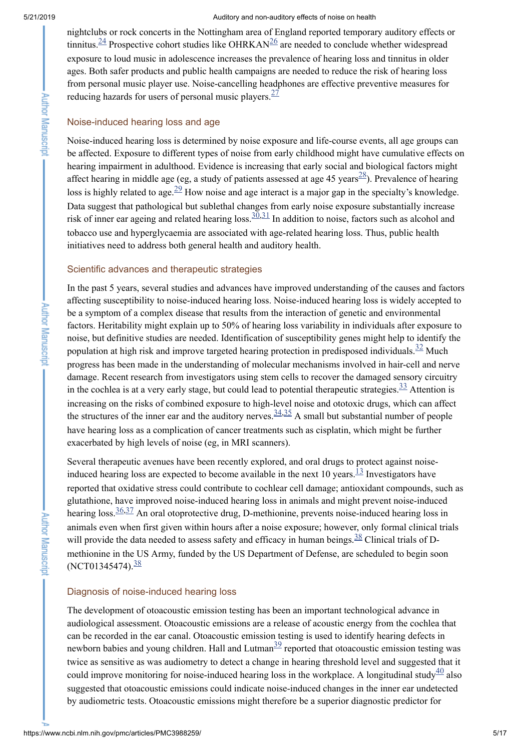**Author Manuscript** 

**Author Manuscript** 

#### 5/21/2019 Auditory and non-auditory effects of noise on health

nightclubs or rock concerts in the Nottingham area of England reported temporary auditory effects or tinnitus.  $\frac{24}{7}$  $\frac{24}{7}$  $\frac{24}{7}$  Prospective cohort studies like OHRKAN<sup>[26](#page-12-17)</sup> are needed to conclude whether widespread exposure to loud music in adolescence increases the prevalence of hearing loss and tinnitus in older ages. Both safer products and public health campaigns are needed to reduce the risk of hearing loss from personal music player use. Noise-cancelling headphones are effective preventive measures for reducing hazards for users of personal music players.  $\frac{27}{27}$  $\frac{27}{27}$  $\frac{27}{27}$ 

# Noise-induced hearing loss and age

Noise-induced hearing loss is determined by noise exposure and life-course events, all age groups can be affected. Exposure to different types of noise from early childhood might have cumulative effects on hearing impairment in adulthood. Evidence is increasing that early social and biological factors might affect hearing in middle age (eg, a study of patients assessed at age 45 years $\frac{28}{2}$  $\frac{28}{2}$  $\frac{28}{2}$ ). Prevalence of hearing loss is highly related to age.<sup>[29](#page-13-2)</sup> How noise and age interact is a major gap in the specialty's knowledge. Data suggest that pathological but sublethal changes from early noise exposure substantially increase risk of inner ear ageing and related hearing loss.  $\frac{30,31}{2}$  $\frac{30,31}{2}$  $\frac{30,31}{2}$  $\frac{30,31}{2}$  In addition to noise, factors such as alcohol and tobacco use and hyperglycaemia are associated with age-related hearing loss. Thus, public health initiatives need to address both general health and auditory health.

# Scientific advances and therapeutic strategies

In the past 5 years, several studies and advances have improved understanding of the causes and factors affecting susceptibility to noise-induced hearing loss. Noise-induced hearing loss is widely accepted to be a symptom of a complex disease that results from the interaction of genetic and environmental factors. Heritability might explain up to 50% of hearing loss variability in individuals after exposure to noise, but definitive studies are needed. Identification of susceptibility genes might help to identify the population at high risk and improve targeted hearing protection in predisposed individuals.  $\frac{32}{2}$  $\frac{32}{2}$  $\frac{32}{2}$  Much progress has been made in the understanding of molecular mechanisms involved in hair-cell and nerve damage. Recent research from investigators using stem cells to recover the damaged sensory circuitry in the cochlea is at a very early stage, but could lead to potential therapeutic strategies.  $\frac{33}{2}$  $\frac{33}{2}$  $\frac{33}{2}$  Attention is increasing on the risks of combined exposure to high-level noise and ototoxic drugs, which can affect the structures of the inner ear and the auditory nerves.  $\frac{34,35}{ }$  $\frac{34,35}{ }$  $\frac{34,35}{ }$  $\frac{34,35}{ }$  A small but substantial number of people have hearing loss as a complication of cancer treatments such as cisplatin, which might be further exacerbated by high levels of noise (eg, in MRI scanners).

Several therapeutic avenues have been recently explored, and oral drugs to protect against noiseinduced hearing loss are expected to become available in the next 10 years.  $\frac{13}{13}$  $\frac{13}{13}$  $\frac{13}{13}$  Investigators have reported that oxidative stress could contribute to cochlear cell damage; antioxidant compounds, such as glutathione, have improved noise-induced hearing loss in animals and might prevent noise-induced hearing loss.  $\frac{36,37}{2}$  $\frac{36,37}{2}$  $\frac{36,37}{2}$  $\frac{36,37}{2}$  An oral otoprotective drug, D-methionine, prevents noise-induced hearing loss in animals even when first given within hours after a noise exposure; however, only formal clinical trials will provide the data needed to assess safety and efficacy in human beings.  $\frac{38}{38}$  $\frac{38}{38}$  $\frac{38}{38}$  Clinical trials of Dmethionine in the US Army, funded by the US Department of Defense, are scheduled to begin soon (NCT01345474).<sup>[38](#page-13-11)</sup>

# Diagnosis of noise-induced hearing loss

The development of otoacoustic emission testing has been an important technological advance in audiological assessment. Otoacoustic emissions are a release of acoustic energy from the cochlea that can be recorded in the ear canal. Otoacoustic emission testing is used to identify hearing defects in newborn babies and young children. Hall and Lutman $\frac{39}{2}$  $\frac{39}{2}$  $\frac{39}{2}$  reported that otoacoustic emission testing was twice as sensitive as was audiometry to detect a change in hearing threshold level and suggested that it could improve monitoring for noise-induced hearing loss in the workplace. A longitudinal study  $\frac{40}{2}$  $\frac{40}{2}$  $\frac{40}{2}$  also suggested that otoacoustic emissions could indicate noise-induced changes in the inner ear undetected by audiometric tests. Otoacoustic emissions might therefore be a superior diagnostic predictor for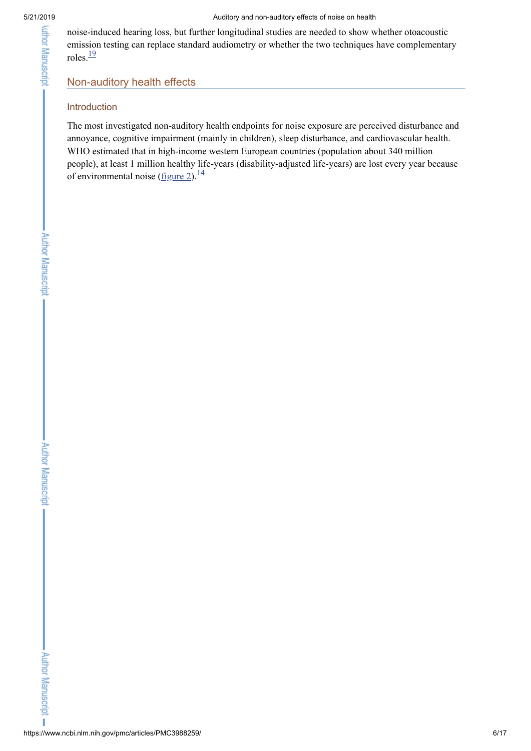noise-induced hearing loss, but further longitudinal studies are needed to show whether otoacoustic emission testing can replace standard audiometry or whether the two techniques have complementary roles. $\frac{19}{1}$  $\frac{19}{1}$  $\frac{19}{1}$ 

# Non-auditory health effects

# Introduction

The most investigated non-auditory health endpoints for noise exposure are perceived disturbance and annoyance, cognitive impairment (mainly in children), sleep disturbance, and cardiovascular health. WHO estimated that in high-income western European countries (population about 340 million people), at least 1 million healthy life-years (disability-adjusted life-years) are lost every year because of environmental noise  $(f_{\text{figure 2}})$  $(f_{\text{figure 2}})$  $(f_{\text{figure 2}})$ .<sup>[14](#page-12-5)</sup>

**Author Manuscript** 

ï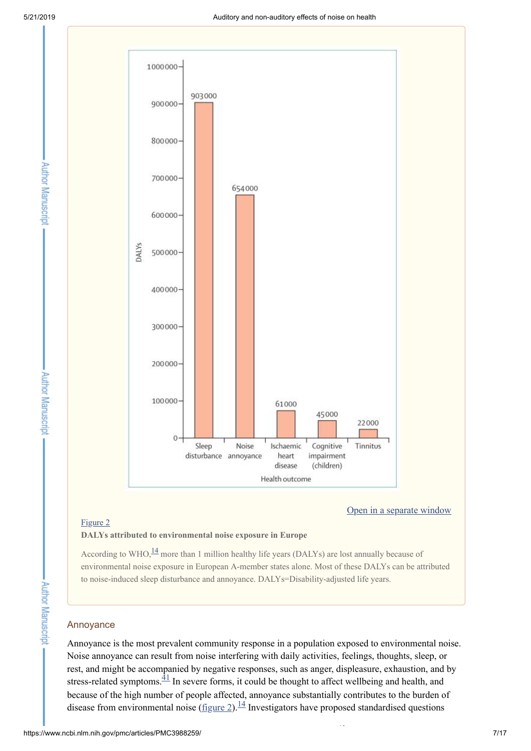Author Manuscript

**Author Manuscript** 



#### Open in a [separate](https://www.ncbi.nlm.nih.gov/pmc/articles/PMC3988259/figure/F2/?report=objectonly) window

#### [Figure](https://www.ncbi.nlm.nih.gov/pmc/articles/PMC3988259/figure/F2/) 2

#### **DALYs attributed to environmental noise exposure in Europe**

According to WHO, $\frac{14}{1}$  $\frac{14}{1}$  $\frac{14}{1}$  more than 1 million healthy life years (DALYs) are lost annually because of environmental noise exposure in European A-member states alone. Most of these DALYs can be attributed to noise-induced sleep disturbance and annoyance. DALYs=Disability-adjusted life years.

## Annoyance

Annoyance is the most prevalent community response in a population exposed to environmental noise. Noise annoyance can result from noise interfering with daily activities, feelings, thoughts, sleep, or rest, and might be accompanied by negative responses, such as anger, displeasure, exhaustion, and by stress-related symptoms. $\frac{1}{4}$  In severe forms, it could be thought to affect wellbeing and health, and because of the high number of people affected, annoyance substantially contributes to the burden of disease from environmental noise  $(\underline{figure 2})$ .<sup>[14](#page-12-5)</sup> Investigators have proposed standardised questions

[42](#page-14-0)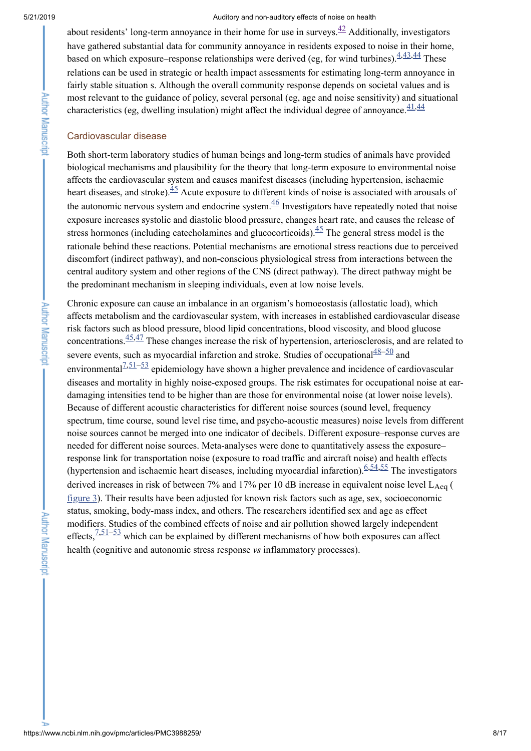about residents' long-term annoyance in their home for use in surveys. $\frac{42}{1}$  $\frac{42}{1}$  $\frac{42}{1}$  Additionally, investigators have gathered substantial data for community annoyance in residents exposed to noise in their home, based on which exposure–response relationships were derived (eg, for wind turbines).  $\frac{4,43,44}{4}$  $\frac{4,43,44}{4}$  $\frac{4,43,44}{4}$  $\frac{4,43,44}{4}$  $\frac{4,43,44}{4}$  $\frac{4,43,44}{4}$  These relations can be used in strategic or health impact assessments for estimating long-term annoyance in fairly stable situation s. Although the overall community response depends on societal values and is most relevant to the guidance of policy, several personal (eg, age and noise sensitivity) and situational characteristics (eg, dwelling insulation) might affect the individual degree of annoyance.  $\frac{41,44}{4}$  $\frac{41,44}{4}$  $\frac{41,44}{4}$  $\frac{41,44}{4}$ 

#### Cardiovascular disease

Both short-term laboratory studies of human beings and long-term studies of animals have provided biological mechanisms and plausibility for the theory that long-term exposure to environmental noise affects the cardiovascular system and causes manifest diseases (including hypertension, ischaemic heart diseases, and stroke).  $\frac{45}{3}$  $\frac{45}{3}$  $\frac{45}{3}$  Acute exposure to different kinds of noise is associated with arousals of the autonomic nervous system and endocrine system. $\frac{46}{5}$  $\frac{46}{5}$  $\frac{46}{5}$  Investigators have repeatedly noted that noise exposure increases systolic and diastolic blood pressure, changes heart rate, and causes the release of stress hormones (including catecholamines and glucocorticoids). $\frac{45}{5}$  $\frac{45}{5}$  $\frac{45}{5}$  The general stress model is the rationale behind these reactions. Potential mechanisms are emotional stress reactions due to perceived discomfort (indirect pathway), and non-conscious physiological stress from interactions between the central auditory system and other regions of the CNS (direct pathway). The direct pathway might be the predominant mechanism in sleeping individuals, even at low noise levels.

Chronic exposure can cause an imbalance in an organism's homoeostasis (allostatic load), which affects metabolism and the cardiovascular system, with increases in established cardiovascular disease risk factors such as blood pressure, blood lipid concentrations, blood viscosity, and blood glucose concentrations.  $\frac{45,47}{ }$  $\frac{45,47}{ }$  $\frac{45,47}{ }$  $\frac{45,47}{ }$  These changes increase the risk of hypertension, arteriosclerosis, and are related to severe events, such as myocardial infarction and stroke. Studies of occupational $\frac{48-50}{8}$  $\frac{48-50}{8}$  $\frac{48-50}{8}$  and environmental $\frac{7,51-53}{ }$  $\frac{7,51-53}{ }$  $\frac{7,51-53}{ }$  $\frac{7,51-53}{ }$  $\frac{7,51-53}{ }$  $\frac{7,51-53}{ }$  epidemiology have shown a higher prevalence and incidence of cardiovascular diseases and mortality in highly noise-exposed groups. The risk estimates for occupational noise at eardamaging intensities tend to be higher than are those for environmental noise (at lower noise levels). Because of different acoustic characteristics for different noise sources (sound level, frequency spectrum, time course, sound level rise time, and psycho-acoustic measures) noise levels from different noise sources cannot be merged into one indicator of decibels. Different exposure–response curves are needed for different noise sources. Meta-analyses were done to quantitatively assess the exposure– response link for transportation noise (exposure to road traffic and aircraft noise) and health effects (hypertension and ischaemic heart diseases, including myocardial infarction).  $6,54,55$  $6,54,55$  $6,54,55$  The investigators derived increases in risk of between 7% and 17% per 10 dB increase in equivalent noise level  $L_{Aeq}$  ( [figure](https://www.ncbi.nlm.nih.gov/pmc/articles/PMC3988259/figure/F3/) 3). Their results have been adjusted for known risk factors such as age, sex, socioeconomic status, smoking, body-mass index, and others. The researchers identified sex and age as effect modifiers. Studies of the combined effects of noise and air pollution showed largely independent effects,  $\frac{7,51-53}{ }$  $\frac{7,51-53}{ }$  $\frac{7,51-53}{ }$  $\frac{7,51-53}{ }$  $\frac{7,51-53}{ }$  $\frac{7,51-53}{ }$  which can be explained by different mechanisms of how both exposures can affect health (cognitive and autonomic stress response *vs* inflammatory processes).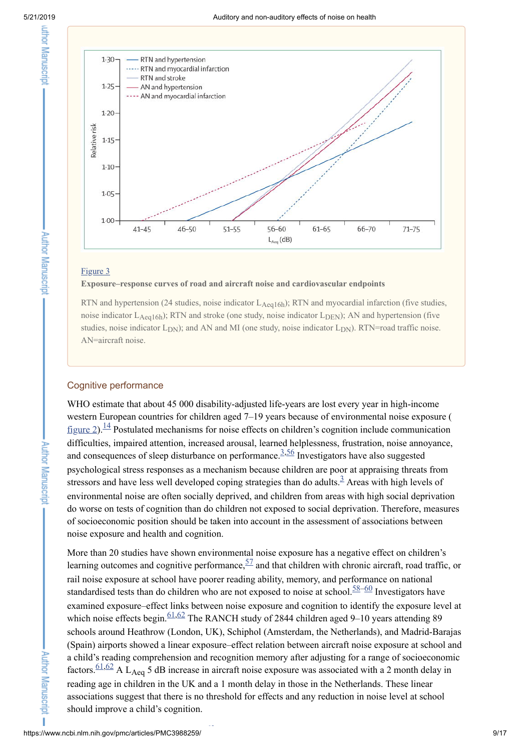**Author Manuscript** 

**Author Manuscript** 

Author Manuscript

٠



#### [Figure](https://www.ncbi.nlm.nih.gov/pmc/articles/PMC3988259/figure/F3/) 3

### **Exposure–response curves of road and aircraft noise and cardiovascular endpoints**

RTN and hypertension (24 studies, noise indicator  $L_{Aeq16h}$ ); RTN and myocardial infarction (five studies, noise indicator  $L_{Aeq16h}$ ); RTN and stroke (one study, noise indicator  $L_{DEN}$ ); AN and hypertension (five studies, noise indicator  $L_{DN}$ ); and AN and MI (one study, noise indicator  $L_{DN}$ ). RTN=road traffic noise. AN=aircraft noise.

### Cognitive performance

WHO estimate that about 45 000 disability-adjusted life-years are lost every year in high-income western European countries for children aged 7–19 years because of environmental noise exposure ( [figure](https://www.ncbi.nlm.nih.gov/pmc/articles/PMC3988259/figure/F2/) 2).<sup>[14](#page-12-5)</sup> Postulated mechanisms for noise effects on children's cognition include communication difficulties, impaired attention, increased arousal, learned helplessness, frustration, noise annoyance, and consequences of sleep disturbance on performance.  $\frac{3,56}{ }$  $\frac{3,56}{ }$  $\frac{3,56}{ }$  $\frac{3,56}{ }$  Investigators have also suggested psychological stress responses as a mechanism because children are poor at appraising threats from stressors and have less well developed coping strategies than do adults. $\frac{3}{2}$  $\frac{3}{2}$  $\frac{3}{2}$  Areas with high levels of environmental noise are often socially deprived, and children from areas with high social deprivation do worse on tests of cognition than do children not exposed to social deprivation. Therefore, measures of socioeconomic position should be taken into account in the assessment of associations between noise exposure and health and cognition.

More than 20 studies have shown environmental noise exposure has a negative effect on children's learning outcomes and cognitive performance,  $\frac{57}{4}$  $\frac{57}{4}$  $\frac{57}{4}$  and that children with chronic aircraft, road traffic, or rail noise exposure at school have poorer reading ability, memory, and performance on national standardised tests than do children who are not exposed to noise at school.  $58-60$  $58-60$  $58-60$  Investigators have examined exposure–effect links between noise exposure and cognition to identify the exposure level at which noise effects begin.  $\frac{61,62}{2}$  $\frac{61,62}{2}$  $\frac{61,62}{2}$  $\frac{61,62}{2}$  The RANCH study of 2844 children aged 9–10 years attending 89 schools around Heathrow (London, UK), Schiphol (Amsterdam, the Netherlands), and Madrid-Barajas (Spain) airports showed a linear exposure–effect relation between aircraft noise exposure at school and a child's reading comprehension and recognition memory after adjusting for a range of socioeconomic factors.  $\frac{61,62}{2}$  $\frac{61,62}{2}$  $\frac{61,62}{2}$  $\frac{61,62}{2}$  A L<sub>Aeq</sub> 5 dB increase in aircraft noise exposure was associated with a 2 month delay in reading age in children in the UK and a 1 month delay in those in the Netherlands. These linear associations suggest that there is no threshold for effects and any reduction in noise level at school should improve a child's cognition.

[63](#page-15-2)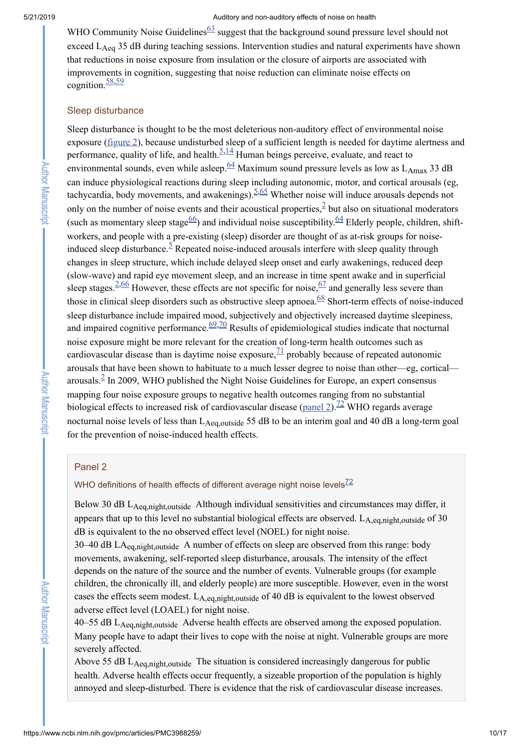WHO Community Noise Guidelines  $63$  suggest that the background sound pressure level should not exceed  $L_{Aeq}$  35 dB during teaching sessions. Intervention studies and natural experiments have shown that reductions in noise exposure from insulation or the closure of airports are associated with improvements in cognition, suggesting that noise reduction can eliminate noise effects on cognition. $\frac{58,59}{ }$  $\frac{58,59}{ }$  $\frac{58,59}{ }$  $\frac{58,59}{ }$ 

## Sleep disturbance

Sleep disturbance is thought to be the most deleterious non-auditory effect of environmental noise exposure [\(figure](https://www.ncbi.nlm.nih.gov/pmc/articles/PMC3988259/figure/F2/) 2), because undisturbed sleep of a sufficient length is needed for daytime alertness and performance, quality of life, and health. $\frac{5,14}{ }$  $\frac{5,14}{ }$  $\frac{5,14}{ }$  $\frac{5,14}{ }$  $\frac{5,14}{ }$  Human beings perceive, evaluate, and react to environmental sounds, even while asleep.  $\frac{64}{1}$  $\frac{64}{1}$  $\frac{64}{1}$  Maximum sound pressure levels as low as L<sub>Amax</sub> 33 dB can induce physiological reactions during sleep including autonomic, motor, and cortical arousals (eg, tachycardia, body movements, and awakenings).  $5.65$  $5.65$  Whether noise will induce arousals depends not only on the number of noise events and their acoustical properties,  $\frac{2}{3}$  $\frac{2}{3}$  $\frac{2}{3}$  but also on situational moderators (such as momentary sleep stage $\frac{66}{2}$  $\frac{66}{2}$  $\frac{66}{2}$ ) and individual noise susceptibility.  $\frac{64}{2}$  $\frac{64}{2}$  $\frac{64}{2}$  Elderly people, children, shiftworkers, and people with a pre-existing (sleep) disorder are thought of as at-risk groups for noiseinduced sleep disturbance.  $\frac{5}{5}$  $\frac{5}{5}$  $\frac{5}{5}$  Repeated noise-induced arousals interfere with sleep quality through changes in sleep structure, which include delayed sleep onset and early awakenings, reduced deep (slow-wave) and rapid eye movement sleep, and an increase in time spent awake and in superficial sleep stages.  $\frac{2,66}{ }$  $\frac{2,66}{ }$  $\frac{2,66}{ }$  $\frac{2,66}{ }$  $\frac{2,66}{ }$  However, these effects are not specific for noise,  $\frac{67}{ }$  $\frac{67}{ }$  $\frac{67}{ }$  and generally less severe than those in clinical sleep disorders such as obstructive sleep apnoea. $\frac{68}{5}$  $\frac{68}{5}$  $\frac{68}{5}$  Short-term effects of noise-induced sleep disturbance include impaired mood, subjectively and objectively increased daytime sleepiness, and impaired cognitive performance.  $\frac{69,70}{2}$  $\frac{69,70}{2}$  $\frac{69,70}{2}$  $\frac{69,70}{2}$  $\frac{69,70}{2}$  Results of epidemiological studies indicate that nocturnal noise exposure might be more relevant for the creation of long-term health outcomes such as cardiovascular disease than is daytime noise exposure,  $\frac{71}{1}$  $\frac{71}{1}$  $\frac{71}{1}$  probably because of repeated autonomic arousals that have been shown to habituate to a much lesser degree to noise than other—eg, cortical arousals. ${}^{2}$  ${}^{2}$  ${}^{2}$  In 2009, WHO published the Night Noise Guidelines for Europe, an expert consensus mapping four noise exposure groups to negative health outcomes ranging from no substantial biological effects to increased risk of cardiovascular disease ([panel](#page-9-0) 2).<sup>[72](#page-15-11)</sup> WHO regards average nocturnal noise levels of less than  $L_{Aeq, outside}$  55 dB to be an interim goal and 40 dB a long-term goal for the prevention of noise-induced health effects.

# <span id="page-9-0"></span>Panel 2

# WHO definitions of health effects of different average night noise levels $^{72}$  $^{72}$  $^{72}$

Below 30 dB L<sub>Aeq,night,outside</sub> Although individual sensitivities and circumstances may differ, it appears that up to this level no substantial biological effects are observed.  $L_{A,eq,night, outside}$  of 30 dB is equivalent to the no observed effect level (NOEL) for night noise.

30–40 dB LA<sub>eq,night,outside</sub> A number of effects on sleep are observed from this range: body movements, awakening, self-reported sleep disturbance, arousals. The intensity of the effect depends on the nature of the source and the number of events. Vulnerable groups (for example children, the chronically ill, and elderly people) are more susceptible. However, even in the worst cases the effects seem modest.  $L_{A,eq,night,outside}$  of 40 dB is equivalent to the lowest observed adverse effect level (LOAEL) for night noise.

40–55 dB L<sub>Aeq,night,outside</sub> Adverse health effects are observed among the exposed population. Many people have to adapt their lives to cope with the noise at night. Vulnerable groups are more severely affected.

Above 55 dB  $L_{Aeq,night, outside}$  The situation is considered increasingly dangerous for public health. Adverse health effects occur frequently, a sizeable proportion of the population is highly annoyed and sleep-disturbed. There is evidence that the risk of cardiovascular disease increases.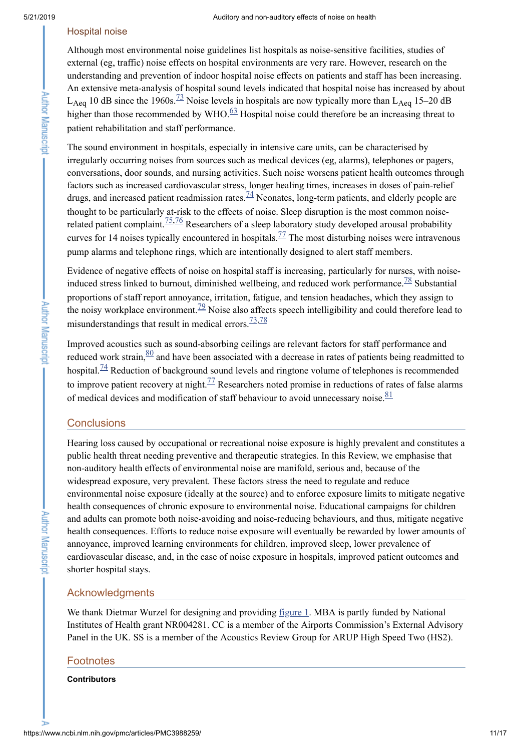#### Hospital noise

Although most environmental noise guidelines list hospitals as noise-sensitive facilities, studies of external (eg, traffic) noise effects on hospital environments are very rare. However, research on the understanding and prevention of indoor hospital noise effects on patients and staff has been increasing. An extensive meta-analysis of hospital sound levels indicated that hospital noise has increased by about L<sub>Aeq</sub> 10 dB since the 1960s.<sup>[73](#page-15-12)</sup> Noise levels in hospitals are now typically more than L<sub>Aeq</sub> 15–20 dB higher than those recommended by WHO. $\frac{63}{2}$  $\frac{63}{2}$  $\frac{63}{2}$  Hospital noise could therefore be an increasing threat to patient rehabilitation and staff performance.

The sound environment in hospitals, especially in intensive care units, can be characterised by irregularly occurring noises from sources such as medical devices (eg, alarms), telephones or pagers, conversations, door sounds, and nursing activities. Such noise worsens patient health outcomes through factors such as increased cardiovascular stress, longer healing times, increases in doses of pain-relief drugs, and increased patient readmission rates.  $^{74}$  $^{74}$  $^{74}$  Neonates, long-term patients, and elderly people are thought to be particularly at-risk to the effects of noise. Sleep disruption is the most common noiserelated patient complaint.  $\frac{75,76}{2}$  $\frac{75,76}{2}$  $\frac{75,76}{2}$  $\frac{75,76}{2}$  Researchers of a sleep laboratory study developed arousal probability curves for 14 noises typically encountered in hospitals.  $\frac{77}{1}$  $\frac{77}{1}$  $\frac{77}{1}$  The most disturbing noises were intravenous pump alarms and telephone rings, which are intentionally designed to alert staff members.

Evidence of negative effects of noise on hospital staff is increasing, particularly for nurses, with noise-induced stress linked to burnout, diminished wellbeing, and reduced work performance.<sup>[78](#page-15-17)</sup> Substantial proportions of staff report annoyance, irritation, fatigue, and tension headaches, which they assign to the noisy workplace environment.<sup>[79](#page-15-18)</sup> Noise also affects speech intelligibility and could therefore lead to misunderstandings that result in medical errors.  $\frac{73,78}{ }$  $\frac{73,78}{ }$  $\frac{73,78}{ }$  $\frac{73,78}{ }$ 

Improved acoustics such as sound-absorbing ceilings are relevant factors for staff performance and reduced work strain,  $\frac{80}{2}$  $\frac{80}{2}$  $\frac{80}{2}$  and have been associated with a decrease in rates of patients being readmitted to hospital. $\frac{74}{7}$  $\frac{74}{7}$  $\frac{74}{7}$  Reduction of background sound levels and ringtone volume of telephones is recommended to improve patient recovery at night.<sup> $77$ </sup> Researchers noted promise in reductions of rates of false alarms of medical devices and modification of staff behaviour to avoid unnecessary noise. $\frac{81}{81}$  $\frac{81}{81}$  $\frac{81}{81}$ 

# **Conclusions**

Hearing loss caused by occupational or recreational noise exposure is highly prevalent and constitutes a public health threat needing preventive and therapeutic strategies. In this Review, we emphasise that non-auditory health effects of environmental noise are manifold, serious and, because of the widespread exposure, very prevalent. These factors stress the need to regulate and reduce environmental noise exposure (ideally at the source) and to enforce exposure limits to mitigate negative health consequences of chronic exposure to environmental noise. Educational campaigns for children and adults can promote both noise-avoiding and noise-reducing behaviours, and thus, mitigate negative health consequences. Efforts to reduce noise exposure will eventually be rewarded by lower amounts of annoyance, improved learning environments for children, improved sleep, lower prevalence of cardiovascular disease, and, in the case of noise exposure in hospitals, improved patient outcomes and shorter hospital stays.

#### Acknowledgments

We thank Dietmar Wurzel for designing and providing [figure](https://www.ncbi.nlm.nih.gov/pmc/articles/PMC3988259/figure/F1/) 1. MBA is partly funded by National Institutes of Health grant NR004281. CC is a member of the Airports Commission's External Advisory Panel in the UK. SS is a member of the Acoustics Review Group for ARUP High Speed Two (HS2).

#### **Footnotes**

#### **Contributors**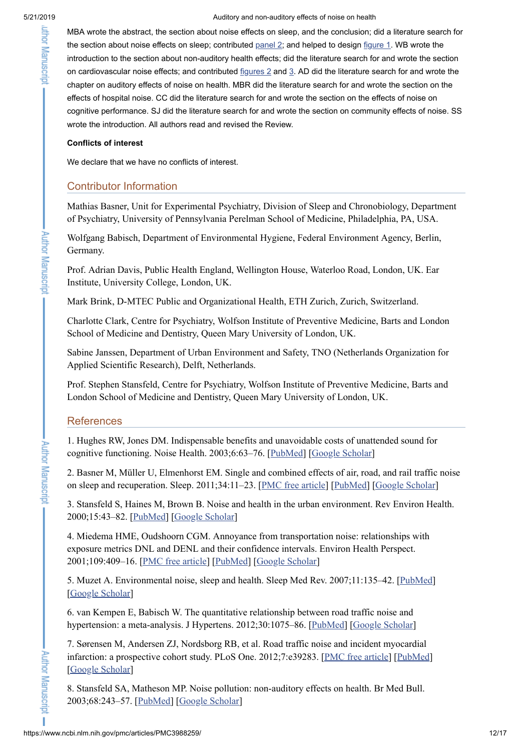MBA wrote the abstract, the section about noise effects on sleep, and the conclusion; did a literature search for the section about noise effects on sleep; contributed [panel](#page-9-0) 2; and helped to design [figure](https://www.ncbi.nlm.nih.gov/pmc/articles/PMC3988259/figure/F1/) 1. WB wrote the introduction to the section about non-auditory health effects; did the literature search for and wrote the section on cardiovascular noise effects; and contributed [figures](https://www.ncbi.nlm.nih.gov/pmc/articles/PMC3988259/figure/F2/) 2 and [3.](https://www.ncbi.nlm.nih.gov/pmc/articles/PMC3988259/figure/F3/) AD did the literature search for and wrote the chapter on auditory effects of noise on health. MBR did the literature search for and wrote the section on the effects of hospital noise. CC did the literature search for and wrote the section on the effects of noise on cognitive performance. SJ did the literature search for and wrote the section on community effects of noise. SS wrote the introduction. All authors read and revised the Review.

# **Conflicts of interest**

We declare that we have no conflicts of interest.

# <span id="page-11-0"></span>Contributor Information

Mathias Basner, Unit for Experimental Psychiatry, Division of Sleep and Chronobiology, Department of Psychiatry, University of Pennsylvania Perelman School of Medicine, Philadelphia, PA, USA.

Wolfgang Babisch, Department of Environmental Hygiene, Federal Environment Agency, Berlin, Germany.

Prof. Adrian Davis, Public Health England, Wellington House, Waterloo Road, London, UK. Ear Institute, University College, London, UK.

Mark Brink, D-MTEC Public and Organizational Health, ETH Zurich, Zurich, Switzerland.

Charlotte Clark, Centre for Psychiatry, Wolfson Institute of Preventive Medicine, Barts and London School of Medicine and Dentistry, Queen Mary University of London, UK.

Sabine Janssen, Department of Urban Environment and Safety, TNO (Netherlands Organization for Applied Scientific Research), Delft, Netherlands.

Prof. Stephen Stansfeld, Centre for Psychiatry, Wolfson Institute of Preventive Medicine, Barts and London School of Medicine and Dentistry, Queen Mary University of London, UK.

# **References**

<span id="page-11-1"></span>1. Hughes RW, Jones DM. Indispensable benefits and unavoidable costs of unattended sound for cognitive functioning. Noise Health. 2003;6:63–76. [\[PubMed\]](https://www.ncbi.nlm.nih.gov/pubmed/14965454) [Google [Scholar\]](https://scholar.google.com/scholar_lookup?journal=Noise+Health&title=Indispensable+benefits+and+unavoidable+costs+of+unattended+sound+for+cognitive+functioning&author=RW+Hughes&author=DM+Jones&volume=6&publication_year=2003&pages=63-76&pmid=14965454&)

<span id="page-11-2"></span>2. Basner M, Müller U, Elmenhorst EM. Single and combined effects of air, road, and rail traffic noise on sleep and recuperation. Sleep. 2011;34:11–23. [PMC free [article\]](https://www.ncbi.nlm.nih.gov/pmc/articles/PMC3001788/) [[PubMed](https://www.ncbi.nlm.nih.gov/pubmed/21203365)] [Google [Scholar](https://scholar.google.com/scholar_lookup?journal=Sleep&title=Single+and+combined+effects+of+air,+road,+and+rail+traffic+noise+on+sleep+and+recuperation&author=M+Basner&author=U+M%C3%BCller&author=EM+Elmenhorst&volume=34&publication_year=2011&pages=11-23&pmid=21203365&)]

<span id="page-11-3"></span>3. Stansfeld S, Haines M, Brown B. Noise and health in the urban environment. Rev Environ Health. 2000;15:43–82. [\[PubMed\]](https://www.ncbi.nlm.nih.gov/pubmed/10939085) [Google [Scholar\]](https://scholar.google.com/scholar_lookup?journal=Rev+Environ+Health&title=Noise+and+health+in+the+urban+environment&author=S+Stansfeld&author=M+Haines&author=B+Brown&volume=15&publication_year=2000&pages=43-82&pmid=10939085&)

<span id="page-11-4"></span>4. Miedema HME, Oudshoorn CGM. Annoyance from transportation noise: relationships with exposure metrics DNL and DENL and their confidence intervals. Environ Health Perspect. 2001;109:409–16. [PMC free [article](https://www.ncbi.nlm.nih.gov/pmc/articles/PMC1240282/)] [[PubMed\]](https://www.ncbi.nlm.nih.gov/pubmed/11335190) [Google [Scholar](https://scholar.google.com/scholar_lookup?journal=Environ+Health+Perspect&title=Annoyance+from+transportation+noise:+relationships+with+exposure+metrics+DNL+and+DENL+and+their+confidence+intervals&author=HME+Miedema&author=CGM+Oudshoorn&volume=109&publication_year=2001&pages=409-16&pmid=11335190&)]

<span id="page-11-5"></span>5. Muzet A. Environmental noise, sleep and health. Sleep Med Rev. 2007;11:135–42. [[PubMed](https://www.ncbi.nlm.nih.gov/pubmed/17317241)] [Google [Scholar](https://scholar.google.com/scholar_lookup?journal=Sleep+Med+Rev&title=Environmental+noise,+sleep+and+health&author=A+Muzet&volume=11&publication_year=2007&pages=135-42&pmid=17317241&)]

<span id="page-11-6"></span>6. van Kempen E, Babisch W. The quantitative relationship between road traffic noise and hypertension: a meta-analysis. J Hypertens. 2012;30:1075–86. [[PubMed](https://www.ncbi.nlm.nih.gov/pubmed/22473017)] [Google [Scholar](https://scholar.google.com/scholar_lookup?journal=J+Hypertens&title=The+quantitative+relationship+between+road+traffic+noise+and+hypertension:+a+meta-analysis&author=E+van+Kempen&author=W+Babisch&volume=30&publication_year=2012&pages=1075-86&pmid=22473017&)]

<span id="page-11-7"></span>7. Sørensen M, Andersen ZJ, Nordsborg RB, et al. Road traffic noise and incident myocardial infarction: a prospective cohort study. PLoS One. 2012;7:e39283. [PMC free [article\]](https://www.ncbi.nlm.nih.gov/pmc/articles/PMC3380019/) [\[PubMed\]](https://www.ncbi.nlm.nih.gov/pubmed/22745727) [Google [Scholar](https://scholar.google.com/scholar_lookup?journal=PLoS+One&title=Road+traffic+noise+and+incident+myocardial+infarction:+a+prospective+cohort+study&author=M+S%C3%B8rensen&author=ZJ+Andersen&author=RB+Nordsborg&volume=7&publication_year=2012&pages=e39283&pmid=22745727&)]

<span id="page-11-8"></span>8. Stansfeld SA, Matheson MP. Noise pollution: non-auditory effects on health. Br Med Bull. 2003;68:243–57. [[PubMed](https://www.ncbi.nlm.nih.gov/pubmed/14757721)] [Google [Scholar](https://scholar.google.com/scholar_lookup?journal=Br+Med+Bull&title=Noise+pollution:+non-auditory+effects+on+health&author=SA+Stansfeld&author=MP+Matheson&volume=68&publication_year=2003&pages=243-57&pmid=14757721&)]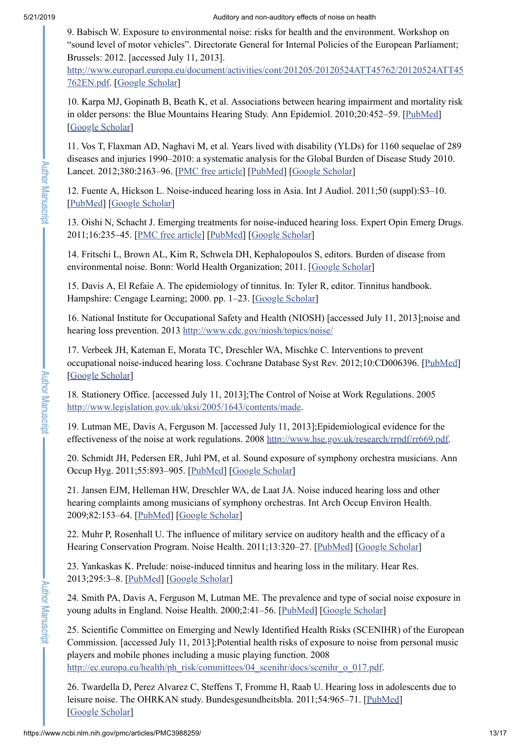. Author Manuscript

**Author Manuscript** 

<span id="page-12-0"></span>9. Babisch W. Exposure to environmental noise: risks for health and the environment. Workshop on "sound level of motor vehicles". Directorate General for Internal Policies of the European Parliament; Brussels: 2012. [accessed July 11, 2013].

[http://www.europarl.europa.eu/document/activities/cont/201205/20120524ATT45762/20120524ATT45](http://www.europarl.europa.eu/document/activities/cont/201205/20120524ATT45762/20120524ATT45762EN.pdf) 762EN.pdf. [Google [Scholar\]](https://scholar.google.com/scholar_lookup?title=Exposure+to+environmental+noise:+risks+for+health+and+the+environment.+Workshop+on+%E2%80%9Csound+level+of+motor+vehicles%E2%80%9D&author=W+Babisch&publication_year=2012&)

<span id="page-12-1"></span>10. Karpa MJ, Gopinath B, Beath K, et al. Associations between hearing impairment and mortality risk in older persons: the Blue Mountains Hearing Study. Ann Epidemiol. 2010;20:452–59. [\[PubMed\]](https://www.ncbi.nlm.nih.gov/pubmed/20470972) [Google [Scholar](https://scholar.google.com/scholar_lookup?journal=Ann+Epidemiol&title=Associations+between+hearing+impairment+and+mortality+risk+in+older+persons:+the+Blue+Mountains+Hearing+Study&author=MJ+Karpa&author=B+Gopinath&author=K+Beath&volume=20&publication_year=2010&pages=452-59&pmid=20470972&)]

<span id="page-12-2"></span>11. Vos T, Flaxman AD, Naghavi M, et al. Years lived with disability (YLDs) for 1160 sequelae of 289 diseases and injuries 1990–2010: a systematic analysis for the Global Burden of Disease Study 2010. Lancet. 2012;380:2163-96. [PMC free [article\]](https://www.ncbi.nlm.nih.gov/pmc/articles/PMC6350784/) [[PubMed\]](https://www.ncbi.nlm.nih.gov/pubmed/23245607) [Google [Scholar](https://scholar.google.com/scholar_lookup?journal=Lancet&title=Years+lived+with+disability+(YLDs)+for+1160+sequelae+of+289+diseases+and+injuries+1990%E2%80%932010:+a+systematic+analysis+for+the+Global+Burden+of+Disease+Study+2010&author=T+Vos&author=AD+Flaxman&author=M+Naghavi&volume=380&publication_year=2012&pages=2163-96&pmid=23245607&)]

<span id="page-12-3"></span>12. Fuente A, Hickson L. Noise-induced hearing loss in Asia. Int J Audiol. 2011;50 (suppl):S3–10. [[PubMed](https://www.ncbi.nlm.nih.gov/pubmed/21288065)] [Google [Scholar](https://scholar.google.com/scholar_lookup?journal=Int+J+Audiol&title=Noise-induced+hearing+loss+in+Asia&author=A+Fuente&author=L+Hickson&volume=50+&issue=suppl&publication_year=2011&pages=S3-10&pmid=21288065&)]

<span id="page-12-4"></span>13. Oishi N, Schacht J. Emerging treatments for noise-induced hearing loss. Expert Opin Emerg Drugs. 2011;16:235–45. [PMC free [article\]](https://www.ncbi.nlm.nih.gov/pmc/articles/PMC3102156/) [\[PubMed](https://www.ncbi.nlm.nih.gov/pubmed/21247358)] [Google [Scholar](https://scholar.google.com/scholar_lookup?journal=Expert+Opin+Emerg+Drugs&title=Emerging+treatments+for+noise-induced+hearing+loss&author=N+Oishi&author=J+Schacht&volume=16&publication_year=2011&pages=235-45&pmid=21247358&)]

<span id="page-12-5"></span>14. Fritschi L, Brown AL, Kim R, Schwela DH, Kephalopoulos S, editors. Burden of disease from environmental noise. Bonn: World Health Organization; 2011. [Google [Scholar](https://scholar.google.com/scholar_lookup?title=Burden+of+disease+from+environmental+noise&publication_year=2011&)]

<span id="page-12-6"></span>15. Davis A, El Refaie A. The epidemiology of tinnitus. In: Tyler R, editor. Tinnitus handbook. Hampshire: Cengage Learning; 2000. pp. 1–23. [Google [Scholar\]](https://scholar.google.com/scholar_lookup?title=Tinnitus+handbook&author=A+Davis&author=A+El+Refaie&publication_year=2000&)

<span id="page-12-7"></span>16. National Institute for Occupational Safety and Health (NIOSH) [accessed July 11, 2013];noise and hearing loss prevention. 2013 <http://www.cdc.gov/niosh/topics/noise/>

<span id="page-12-8"></span>17. Verbeek JH, Kateman E, Morata TC, Dreschler WA, Mischke C. Interventions to prevent occupational noise-induced hearing loss. Cochrane Database Syst Rev. 2012;10:CD006396. [\[PubMed\]](https://www.ncbi.nlm.nih.gov/pubmed/23076923) [Google [Scholar](https://scholar.google.com/scholar_lookup?journal=Cochrane+Database+Syst+Rev&title=Interventions+to+prevent+occupational+noise-induced+hearing+loss&author=JH+Verbeek&author=E+Kateman&author=TC+Morata&author=WA+Dreschler&author=C+Mischke&volume=10&publication_year=2012&pages=CD006396&pmid=23076923&)]

<span id="page-12-9"></span>18. Stationery Office. [accessed July 11, 2013];The Control of Noise at Work Regulations. 2005 [http://www.legislation.gov.uk/uksi/2005/1643/contents/made.](http://www.legislation.gov.uk/uksi/2005/1643/contents/made)

<span id="page-12-10"></span>19. Lutman ME, Davis A, Ferguson M. [accessed July 11, 2013];Epidemiological evidence for the effectiveness of the noise at work regulations. 2008 <http://www.hse.gov.uk/research/rrpdf/rr669.pdf>.

<span id="page-12-11"></span>20. Schmidt JH, Pedersen ER, Juhl PM, et al. Sound exposure of symphony orchestra musicians. Ann Occup Hyg. 2011;55:893–905. [[PubMed\]](https://www.ncbi.nlm.nih.gov/pubmed/21841154) [Google [Scholar\]](https://scholar.google.com/scholar_lookup?journal=Ann+Occup+Hyg&title=Sound+exposure+of+symphony+orchestra+musicians&author=JH+Schmidt&author=ER+Pedersen&author=PM+Juhl&volume=55&publication_year=2011&pages=893-905&pmid=21841154&)

<span id="page-12-12"></span>21. Jansen EJM, Helleman HW, Dreschler WA, de Laat JA. Noise induced hearing loss and other hearing complaints among musicians of symphony orchestras. Int Arch Occup Environ Health. 2009;82:153–64. [[PubMed](https://www.ncbi.nlm.nih.gov/pubmed/18404276)] [Google [Scholar](https://scholar.google.com/scholar_lookup?journal=Int+Arch+Occup+Environ+Health&title=Noise+induced+hearing+loss+and+other+hearing+complaints+among+musicians+of+symphony+orchestras&author=EJM+Jansen&author=HW+Helleman&author=WA+Dreschler&author=JA+de+Laat&volume=82&publication_year=2009&pages=153-64&pmid=18404276&)]

<span id="page-12-13"></span>22. Muhr P, Rosenhall U. The influence of military service on auditory health and the efficacy of a Hearing Conservation Program. Noise Health. 2011;13:320-27. [[PubMed](https://www.ncbi.nlm.nih.gov/pubmed/21768736)] [Google [Scholar](https://scholar.google.com/scholar_lookup?journal=Noise+Health&title=The+influence+of+military+service+on+auditory+health+and+the+efficacy+of+a+Hearing+Conservation+Program&author=P+Muhr&author=U+Rosenhall&volume=13&publication_year=2011&pages=320-27&pmid=21768736&)]

<span id="page-12-14"></span>23. Yankaskas K. Prelude: noise-induced tinnitus and hearing loss in the military. Hear Res. 2013;295:3–8. [[PubMed](https://www.ncbi.nlm.nih.gov/pubmed/22575206)] [Google [Scholar\]](https://scholar.google.com/scholar_lookup?journal=Hear+Res&title=Prelude:+noise-induced+tinnitus+and+hearing+loss+in+the+military&author=K+Yankaskas&volume=295&publication_year=2013&pages=3-8&pmid=22575206&)

<span id="page-12-15"></span>24. Smith PA, Davis A, Ferguson M, Lutman ME. The prevalence and type of social noise exposure in young adults in England. Noise Health. 2000;2:41–56. [[PubMed](https://www.ncbi.nlm.nih.gov/pubmed/12689478)] [Google [Scholar](https://scholar.google.com/scholar_lookup?journal=Noise+Health&title=The+prevalence+and+type+of+social+noise+exposure+in+young+adults+in+England&author=PA+Smith&author=A+Davis&author=M+Ferguson&author=ME+Lutman&volume=2&publication_year=2000&pages=41-56&pmid=12689478&)]

<span id="page-12-16"></span>25. Scientific Committee on Emerging and Newly Identified Health Risks (SCENIHR) of the European Commission. [accessed July 11, 2013];Potential health risks of exposure to noise from personal music players and mobile phones including a music playing function. 2008 [http://ec.europa.eu/health/ph\\_risk/committees/04\\_scenihr/docs/scenihr\\_o\\_017.pdf](http://ec.europa.eu/health/ph_risk/committees/04_scenihr/docs/scenihr_o_017.pdf).

<span id="page-12-17"></span>26. Twardella D, Perez Alvarez C, Steffens T, Fromme H, Raab U. Hearing loss in adolescents due to leisure noise. The OHRKAN study. Bundesgesundheitsbla. 2011;54:965-71. [[PubMed\]](https://www.ncbi.nlm.nih.gov/pubmed/21800245) [Google [Scholar](https://scholar.google.com/scholar_lookup?journal=Bundesgesundheitsbla&title=Hearing+loss+in+adolescents+due+to+leisure+noise.+The+OHRKAN+study&author=D+Twardella&author=C+Perez+Alvarez&author=T+Steffens&author=H+Fromme&author=U+Raab&volume=54&publication_year=2011&pages=965-71&)]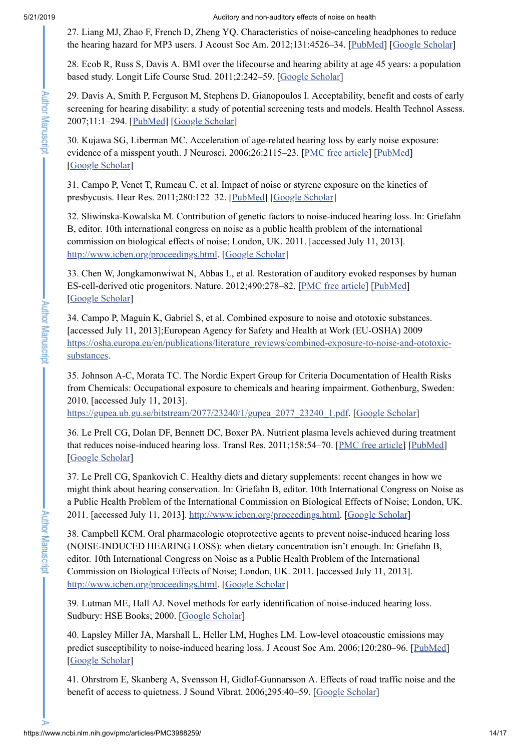<span id="page-13-0"></span>27. Liang MJ, Zhao F, French D, Zheng YQ. Characteristics of noise-canceling headphones to reduce the hearing hazard for MP3 users. J Acoust Soc Am. 2012;131:4526–34. [\[PubMed](https://www.ncbi.nlm.nih.gov/pubmed/22712926)] [Google [Scholar\]](https://scholar.google.com/scholar_lookup?journal=J+Acoust+Soc+Am&title=Characteristics+of+noise-canceling+headphones+to+reduce+the+hearing+hazard+for+MP3+users&author=MJ+Liang&author=F+Zhao&author=D+French&author=YQ+Zheng&volume=131&publication_year=2012&pages=4526-34&pmid=22712926&)

<span id="page-13-1"></span>28. Ecob R, Russ S, Davis A. BMI over the lifecourse and hearing ability at age 45 years: a population based study. Longit Life Course Stud. 2011;2:242–59. [Google [Scholar](https://scholar.google.com/scholar_lookup?journal=Longit+Life+Course+Stud&title=BMI+over+the+lifecourse+and+hearing+ability+at+age+45+years:+a+population+based+study&author=R+Ecob&author=S+Russ&author=A+Davis&volume=2&publication_year=2011&pages=242-59&)]

<span id="page-13-2"></span>29. Davis A, Smith P, Ferguson M, Stephens D, Gianopoulos I. Acceptability, benefit and costs of early screening for hearing disability: a study of potential screening tests and models. Health Technol Assess. 2007;11:1–294. [[PubMed\]](https://www.ncbi.nlm.nih.gov/pubmed/17927921) [Google [Scholar](https://scholar.google.com/scholar_lookup?journal=Health+Technol+Assess&title=Acceptability,+benefit+and+costs+of+early+screening+for+hearing+disability:+a+study+of+potential+screening+tests+and+models&author=A+Davis&author=P+Smith&author=M+Ferguson&author=D+Stephens&author=I+Gianopoulos&volume=11&publication_year=2007&pages=1-294&)]

<span id="page-13-3"></span>30. Kujawa SG, Liberman MC. Acceleration of age-related hearing loss by early noise exposure: evidence of a misspent youth. J Neurosci. 2006;26:2115–23. [PMC free [article](https://www.ncbi.nlm.nih.gov/pmc/articles/PMC1855187/)] [[PubMed](https://www.ncbi.nlm.nih.gov/pubmed/16481444)] [Google [Scholar](https://scholar.google.com/scholar_lookup?journal=J+Neurosci&title=Acceleration+of+age-related+hearing+loss+by+early+noise+exposure:+evidence+of+a+misspent+youth&author=SG+Kujawa&author=MC+Liberman&volume=26&publication_year=2006&pages=2115-23&pmid=16481444&)]

<span id="page-13-4"></span>31. Campo P, Venet T, Rumeau C, et al. Impact of noise or styrene exposure on the kinetics of presbycusis. Hear Res. 2011;280:122–32. [\[PubMed\]](https://www.ncbi.nlm.nih.gov/pubmed/21616132) [Google [Scholar\]](https://scholar.google.com/scholar_lookup?journal=Hear+Res&title=Impact+of+noise+or+styrene+exposure+on+the+kinetics+of+presbycusis&author=P+Campo&author=T+Venet&author=C+Rumeau&volume=280&publication_year=2011&pages=122-32&pmid=21616132&)

<span id="page-13-5"></span>32. Sliwinska-Kowalska M. Contribution of genetic factors to noise-induced hearing loss. In: Griefahn B, editor. 10th international congress on noise as a public health problem of the international commission on biological effects of noise; London, UK. 2011. [accessed July 11, 2013]. [http://www.icben.org/proceedings.html.](http://www.icben.org/proceedings.html) [Google [Scholar\]](https://scholar.google.com/scholar?q=Sliwinska-Kowalska+M+Contribution+of+genetic+factors+to+noise-induced+hearing+loss+Griefahn+B+10th+international+congress+on+noise+as+a+public+health+problem+of+the+international+commission+on+biological+effects+of+noise+London,+UK+2011+http://www.icben.org/proceedings.html+accessed+July+11,+2013+)

<span id="page-13-6"></span>33. Chen W, Jongkamonwiwat N, Abbas L, et al. Restoration of auditory evoked responses by human ES-cell-derived otic progenitors. Nature. 2012;490:278–82. [PMC free [article\]](https://www.ncbi.nlm.nih.gov/pmc/articles/PMC3480718/) [[PubMed\]](https://www.ncbi.nlm.nih.gov/pubmed/22972191) [Google [Scholar](https://scholar.google.com/scholar_lookup?journal=Nature&title=Restoration+of+auditory+evoked+responses+by+human+ES-cell-derived+otic+progenitors&author=W+Chen&author=N+Jongkamonwiwat&author=L+Abbas&volume=490&publication_year=2012&pages=278-82&pmid=22972191&)]

<span id="page-13-7"></span>34. Campo P, Maguin K, Gabriel S, et al. Combined exposure to noise and ototoxic substances. [accessed July 11, 2013];European Agency for Safety and Health at Work (EU-OSHA) 2009 [https://osha.europa.eu/en/publications/literature\\_reviews/combined-exposure-to-noise-and-ototoxic](https://osha.europa.eu/en/publications/literature_reviews/combined-exposure-to-noise-and-ototoxic-substances)substances.

<span id="page-13-8"></span>35. Johnson A-C, Morata TC. The Nordic Expert Group for Criteria Documentation of Health Risks from Chemicals: Occupational exposure to chemicals and hearing impairment. Gothenburg, Sweden: 2010. [accessed July 11, 2013].

[https://gupea.ub.gu.se/bitstream/2077/23240/1/gupea\\_2077\\_23240\\_1.pdf.](https://gupea.ub.gu.se/bitstream/2077/23240/1/gupea_2077_23240_1.pdf) [Google [Scholar\]](https://scholar.google.com/scholar_lookup?title=The+Nordic+Expert+Group+for+Criteria+Documentation+of+Health+Risks+from+Chemicals:+Occupational+exposure+to+chemicals+and+hearing+impairment&author=A-C+Johnson&author=TC+Morata&publication_year=2010&)

<span id="page-13-9"></span>36. Le Prell CG, Dolan DF, Bennett DC, Boxer PA. Nutrient plasma levels achieved during treatment that reduces noise-induced hearing loss. Transl Res. 2011;158:54–70. [PMC free [article](https://www.ncbi.nlm.nih.gov/pmc/articles/PMC3125531/)] [\[PubMed\]](https://www.ncbi.nlm.nih.gov/pubmed/21708356) [Google [Scholar](https://scholar.google.com/scholar_lookup?journal=Transl+Res&title=Nutrient+plasma+levels+achieved+during+treatment+that+reduces+noise-induced+hearing+loss&author=CG+Le+Prell&author=DF+Dolan&author=DC+Bennett&author=PA+Boxer&volume=158&publication_year=2011&pages=54-70&pmid=21708356&)]

<span id="page-13-10"></span>37. Le Prell CG, Spankovich C. Healthy diets and dietary supplements: recent changes in how we might think about hearing conservation. In: Griefahn B, editor. 10th International Congress on Noise as a Public Health Problem of the International Commission on Biological Effects of Noise; London, UK. 2011. [accessed July 11, 2013]. [http://www.icben.org/proceedings.html.](http://www.icben.org/proceedings.html) [Google [Scholar\]](https://scholar.google.com/scholar?q=Le+Prell+CG+Spankovich+C+Healthy+diets+and+dietary+supplements:+recent+changes+in+how+we+might+think+about+hearing+conservation+Griefahn+B+10th+International+Congress+on+Noise+as+a+Public+Health+Problem+of+the+International+Commission+on+Biological+Effects+of+Noise+London,+UK+2011+http://www.icben.org/proceedings.html+accessed+July+11,+2013+)

<span id="page-13-11"></span>38. Campbell KCM. Oral pharmacologic otoprotective agents to prevent noise-induced hearing loss (NOISE-INDUCED HEARING LOSS): when dietary concentration isn't enough. In: Griefahn B, editor. 10th International Congress on Noise as a Public Health Problem of the International Commission on Biological Effects of Noise; London, UK. 2011. [accessed July 11, 2013]. [http://www.icben.org/proceedings.html.](http://www.icben.org/proceedings.html) [Google [Scholar\]](https://scholar.google.com/scholar?q=Campbell+KCM+Oral+pharmacologic+otoprotective+agents+to+prevent+noise-induced+hearing+loss+(NOISE-INDUCED+HEARING+LOSS):+when+dietary+concentration+isn%E2%80%99t+enough+Griefahn+B+10th+International+Congress+on+Noise+as+a+Public+Health+Problem+of+the+International+Commission+on+Biological+Effects+of+Noise+London,+UK+2011+http://www.icben.org/proceedings.html+accessed+July+11,+2013+)

<span id="page-13-12"></span>39. Lutman ME, Hall AJ. Novel methods for early identification of noise-induced hearing loss. Sudbury: HSE Books; 2000. [Google [Scholar](https://scholar.google.com/scholar_lookup?title=Novel+methods+for+early+identification+of+noise-induced+hearing+loss&author=ME+Lutman&author=AJ+Hall&publication_year=2000&)]

<span id="page-13-13"></span>40. Lapsley Miller JA, Marshall L, Heller LM, Hughes LM. Low-level otoacoustic emissions may predict susceptibility to noise-induced hearing loss. J Acoust Soc Am. 2006;120:280-96. [\[PubMed](https://www.ncbi.nlm.nih.gov/pubmed/16875225)] [Google [Scholar](https://scholar.google.com/scholar_lookup?journal=J+Acoust+Soc+Am&title=Low-level+otoacoustic+emissions+may+predict+susceptibility+to+noise-induced+hearing+loss&author=JA+Lapsley+Miller&author=L+Marshall&author=LM+Heller&author=LM+Hughes&volume=120&publication_year=2006&pages=280-96&pmid=16875225&)]

<span id="page-13-14"></span>41. Ohrstrom E, Skanberg A, Svensson H, Gidlof-Gunnarsson A. Effects of road traffic noise and the benefit of access to quietness. J Sound Vibrat. 2006;295:40–59. [Google [Scholar\]](https://scholar.google.com/scholar_lookup?journal=J+Sound+Vibrat&title=Effects+of+road+traffic+noise+and+the+benefit+of+access+to+quietness&author=E+Ohrstrom&author=A+Skanberg&author=H+Svensson&author=A+Gidlof-Gunnarsson&volume=295&publication_year=2006&pages=40-59&)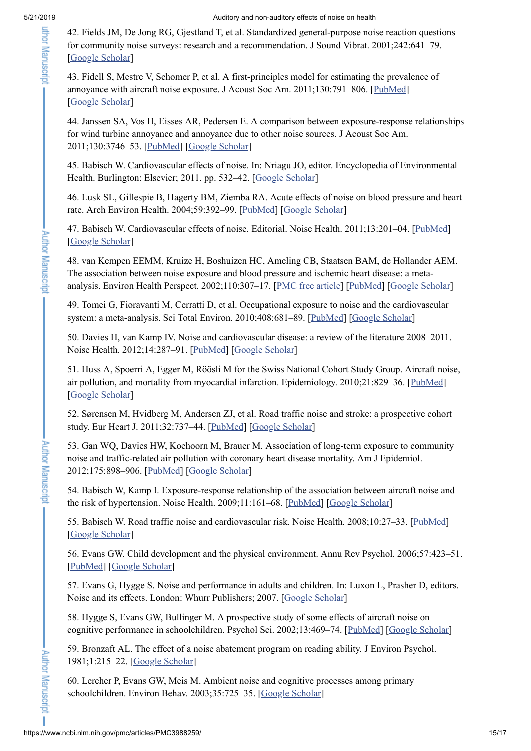<span id="page-14-0"></span>42. Fields JM, De Jong RG, Gjestland T, et al. Standardized general-purpose noise reaction questions for community noise surveys: research and a recommendation. J Sound Vibrat. 2001;242:641–79. [Google [Scholar](https://scholar.google.com/scholar_lookup?journal=J+Sound+Vibrat&title=Standardized+general-purpose+noise+reaction+questions+for+community+noise+surveys:+research+and+a+recommendation&author=JM+Fields&author=RG+De+Jong&author=T+Gjestland&volume=242&publication_year=2001&pages=641-79&)]

<span id="page-14-1"></span>43. Fidell S, Mestre V, Schomer P, et al. A first-principles model for estimating the prevalence of annoyance with aircraft noise exposure. J Acoust Soc Am. 2011;130:791–806. [\[PubMed](https://www.ncbi.nlm.nih.gov/pubmed/21877795)] [Google [Scholar](https://scholar.google.com/scholar_lookup?journal=J+Acoust+Soc+Am&title=A+first-principles+model+for+estimating+the+prevalence+of+annoyance+with+aircraft+noise+exposure&author=S+Fidell&author=V+Mestre&author=P+Schomer&volume=130&publication_year=2011&pages=791-806&pmid=21877795&)]

<span id="page-14-2"></span>44. Janssen SA, Vos H, Eisses AR, Pedersen E. A comparison between exposure-response relationships for wind turbine annoyance and annoyance due to other noise sources. J Acoust Soc Am. 2011;130:3746–53. [\[PubMed](https://www.ncbi.nlm.nih.gov/pubmed/22225031)] [Google [Scholar](https://scholar.google.com/scholar_lookup?journal=J+Acoust+Soc+Am&title=A+comparison+between+exposure-response+relationships+for+wind+turbine+annoyance+and+annoyance+due+to+other+noise+sources&author=SA+Janssen&author=H+Vos&author=AR+Eisses&author=E+Pedersen&volume=130&publication_year=2011&pages=3746-53&pmid=22225031&)]

<span id="page-14-3"></span>45. Babisch W. Cardiovascular effects of noise. In: Nriagu JO, editor. Encyclopedia of Environmental Health. Burlington: Elsevier; 2011. pp. 532–42. [Google [Scholar\]](https://scholar.google.com/scholar_lookup?title=Encyclopedia+of+Environmental+Health&author=W+Babisch&publication_year=2011&)

<span id="page-14-4"></span>46. Lusk SL, Gillespie B, Hagerty BM, Ziemba RA. Acute effects of noise on blood pressure and heart rate. Arch Environ Health. 2004;59:392–99. [[PubMed](https://www.ncbi.nlm.nih.gov/pubmed/16268115)] [Google [Scholar](https://scholar.google.com/scholar_lookup?journal=Arch+Environ+Health&title=Acute+effects+of+noise+on+blood+pressure+and+heart+rate&author=SL+Lusk&author=B+Gillespie&author=BM+Hagerty&author=RA+Ziemba&volume=59&publication_year=2004&pages=392-99&pmid=16268115&)]

<span id="page-14-5"></span>47. Babisch W. Cardiovascular effects of noise. Editorial. Noise Health. 2011;13:201–04. [\[PubMed](https://www.ncbi.nlm.nih.gov/pubmed/21537102)] [Google [Scholar](https://scholar.google.com/scholar_lookup?journal=Noise+Health&title=Cardiovascular+effects+of+noise.+Editorial&author=W+Babisch&volume=13&publication_year=2011&pages=201-04&pmid=21537102&)]

<span id="page-14-6"></span>48. van Kempen EEMM, Kruize H, Boshuizen HC, Ameling CB, Staatsen BAM, de Hollander AEM. The association between noise exposure and blood pressure and ischemic heart disease: a metaanalysis. Environ Health Perspect. 2002;110:307-17. [PMC free [article\]](https://www.ncbi.nlm.nih.gov/pmc/articles/PMC1240772/) [\[PubMed](https://www.ncbi.nlm.nih.gov/pubmed/11882483)] [Google [Scholar](https://scholar.google.com/scholar_lookup?journal=Environ+Health+Perspect&title=The+association+between+noise+exposure+and+blood+pressure+and+ischemic+heart+disease:+a+meta-analysis&author=EEMM+van+Kempen&author=H+Kruize&author=HC+Boshuizen&author=CB+Ameling&author=BAM+Staatsen&volume=110&publication_year=2002&pages=307-17&pmid=11882483&)]

49. Tomei G, Fioravanti M, Cerratti D, et al. Occupational exposure to noise and the cardiovascular system: a meta-analysis. Sci Total Environ. 2010;408:681–89. [\[PubMed](https://www.ncbi.nlm.nih.gov/pubmed/19931119)] [Google [Scholar](https://scholar.google.com/scholar_lookup?journal=Sci+Total+Environ&title=Occupational+exposure+to+noise+and+the+cardiovascular+system:+a+meta-analysis&author=G+Tomei&author=M+Fioravanti&author=D+Cerratti&volume=408&publication_year=2010&pages=681-89&pmid=19931119&)]

<span id="page-14-7"></span>50. Davies H, van Kamp IV. Noise and cardiovascular disease: a review of the literature 2008–2011. Noise Health. 2012;14:287–91. [[PubMed\]](https://www.ncbi.nlm.nih.gov/pubmed/23257579) [Google [Scholar\]](https://scholar.google.com/scholar_lookup?journal=Noise+Health&title=Noise+and+cardiovascular+disease:+a+review+of+the+literature+2008%E2%80%932011&author=H+Davies&author=IV+van+Kamp&volume=14&publication_year=2012&pages=287-91&pmid=23257579&)

<span id="page-14-8"></span>51. Huss A, Spoerri A, Egger M, Röösli M for the Swiss National Cohort Study Group. Aircraft noise, air pollution, and mortality from myocardial infarction. Epidemiology. 2010;21:829–36. [[PubMed](https://www.ncbi.nlm.nih.gov/pubmed/20881600)] [Google [Scholar](https://scholar.google.com/scholar_lookup?journal=Epidemiology&title=Aircraft+noise,+air+pollution,+and+mortality+from+myocardial+infarction&author=A+Huss&author=A+Spoerri&author=M+Egger&author=M+R%C3%B6%C3%B6sli&volume=21&publication_year=2010&pages=829-36&pmid=20881600&)]

52. Sørensen M, Hvidberg M, Andersen ZJ, et al. Road traffic noise and stroke: a prospective cohort study. Eur Heart J. 2011;32:737–44. [[PubMed](https://www.ncbi.nlm.nih.gov/pubmed/21266374)] [Google [Scholar](https://scholar.google.com/scholar_lookup?journal=Eur+Heart+J&title=Road+traffic+noise+and+stroke:+a+prospective+cohort+study&author=M+S%C3%B8rensen&author=M+Hvidberg&author=ZJ+Andersen&volume=32&publication_year=2011&pages=737-44&pmid=21266374&)]

<span id="page-14-9"></span>53. Gan WQ, Davies HW, Koehoorn M, Brauer M. Association of long-term exposure to community noise and traffic-related air pollution with coronary heart disease mortality. Am J Epidemiol. 2012;175:898–906. [[PubMed\]](https://www.ncbi.nlm.nih.gov/pubmed/22491084) [Google [Scholar\]](https://scholar.google.com/scholar_lookup?journal=Am+J+Epidemiol&title=Association+of+long-term+exposure+to+community+noise+and+traffic-related+air+pollution+with+coronary+heart+disease+mortality&author=WQ+Gan&author=HW+Davies&author=M+Koehoorn&author=M+Brauer&volume=175&publication_year=2012&pages=898-906&pmid=22491084&)

<span id="page-14-10"></span>54. Babisch W, Kamp I. Exposure-response relationship of the association between aircraft noise and the risk of hypertension. Noise Health. 2009;11:161–68. [[PubMed\]](https://www.ncbi.nlm.nih.gov/pubmed/19602770) [Google [Scholar\]](https://scholar.google.com/scholar_lookup?journal=Noise+Health&title=Exposure-response+relationship+of+the+association+between+aircraft+noise+and+the+risk+of+hypertension&author=W+Babisch&author=I+Kamp&volume=11&publication_year=2009&pages=161-68&pmid=19602770&)

<span id="page-14-11"></span>55. Babisch W. Road traffic noise and cardiovascular risk. Noise Health. 2008;10:27–33. [\[PubMed](https://www.ncbi.nlm.nih.gov/pubmed/18270405)] [Google [Scholar](https://scholar.google.com/scholar_lookup?journal=Noise+Health&title=Road+traffic+noise+and+cardiovascular+risk&author=W+Babisch&volume=10&publication_year=2008&pages=27-33&pmid=18270405&)]

<span id="page-14-12"></span>56. Evans GW. Child development and the physical environment. Annu Rev Psychol. 2006;57:423–51. [[PubMed](https://www.ncbi.nlm.nih.gov/pubmed/16318602)] [Google [Scholar](https://scholar.google.com/scholar_lookup?journal=Annu+Rev+Psychol&title=Child+development+and+the+physical+environment&author=GW+Evans&volume=57&publication_year=2006&pages=423-51&pmid=16318602&)]

<span id="page-14-13"></span>57. Evans G, Hygge S. Noise and performance in adults and children. In: Luxon L, Prasher D, editors. Noise and its effects. London: Whurr Publishers; 2007. [Google [Scholar\]](https://scholar.google.com/scholar_lookup?title=Noise+and+its+effects&author=G+Evans&author=S+Hygge&publication_year=2007&)

<span id="page-14-14"></span>58. Hygge S, Evans GW, Bullinger M. A prospective study of some effects of aircraft noise on cognitive performance in schoolchildren. Psychol Sci. 2002;13:469–74. [\[PubMed](https://www.ncbi.nlm.nih.gov/pubmed/12219816)] [Google [Scholar\]](https://scholar.google.com/scholar_lookup?journal=Psychol+Sci&title=A+prospective+study+of+some+effects+of+aircraft+noise+on+cognitive+performance+in+schoolchildren&author=S+Hygge&author=GW+Evans&author=M+Bullinger&volume=13&publication_year=2002&pages=469-74&pmid=12219816&)

<span id="page-14-16"></span>59. Bronzaft AL. The effect of a noise abatement program on reading ability. J Environ Psychol. 1981;1:215–22. [Google [Scholar\]](https://scholar.google.com/scholar_lookup?journal=J+Environ+Psychol&title=The+effect+of+a+noise+abatement+program+on+reading+ability&author=AL+Bronzaft&volume=1&publication_year=1981&pages=215-22&)

<span id="page-14-15"></span>60. Lercher P, Evans GW, Meis M. Ambient noise and cognitive processes among primary schoolchildren. Environ Behav. 2003;35:725–35. [Google [Scholar](https://scholar.google.com/scholar_lookup?journal=Environ+Behav&title=Ambient+noise+and+cognitive+processes+among+primary+schoolchildren&author=P+Lercher&author=GW+Evans&author=M+Meis&volume=35&publication_year=2003&pages=725-35&)]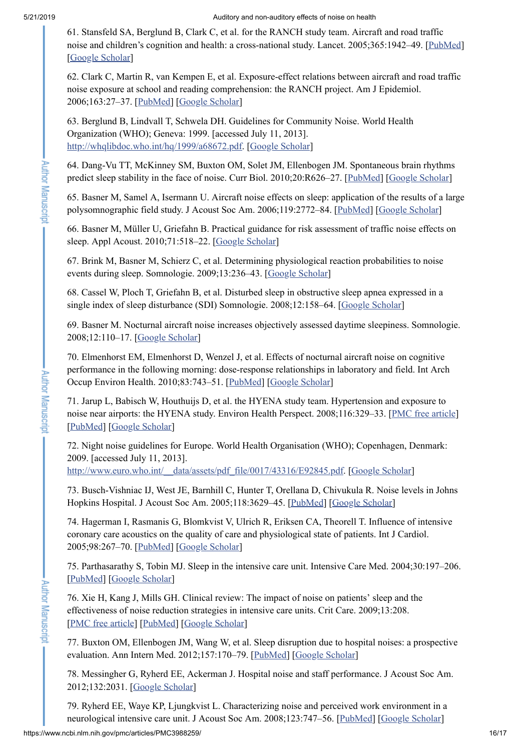Author Manuscript

**Author Manuscript** 

<span id="page-15-0"></span>61. Stansfeld SA, Berglund B, Clark C, et al. for the RANCH study team. Aircraft and road traffic noise and children's cognition and health: a cross-national study. Lancet. 2005;365:1942–49. [[PubMed](https://www.ncbi.nlm.nih.gov/pubmed/15936421)] [Google [Scholar](https://scholar.google.com/scholar_lookup?journal=Lancet&title=Aircraft+and+road+traffic+noise+and+children%E2%80%99s+cognition+and+health:+a+cross-national+study&author=SA+Stansfeld&author=B+Berglund&author=C+Clark&volume=365&publication_year=2005&pages=1942-49&pmid=15936421&)]

<span id="page-15-1"></span>62. Clark C, Martin R, van Kempen E, et al. Exposure-effect relations between aircraft and road traffic noise exposure at school and reading comprehension: the RANCH project. Am J Epidemiol. 2006;163:27–37. [[PubMed](https://www.ncbi.nlm.nih.gov/pubmed/16306314)] [Google [Scholar](https://scholar.google.com/scholar_lookup?journal=Am+J+Epidemiol&title=Exposure-effect+relations+between+aircraft+and+road+traffic+noise+exposure+at+school+and+reading+comprehension:+the+RANCH+project&author=C+Clark&author=R+Martin&author=E+van+Kempen&volume=163&publication_year=2006&pages=27-37&pmid=16306314&)]

<span id="page-15-2"></span>63. Berglund B, Lindvall T, Schwela DH. Guidelines for Community Noise. World Health Organization (WHO); Geneva: 1999. [accessed July 11, 2013]. [http://whqlibdoc.who.int/hq/1999/a68672.pdf.](http://whqlibdoc.who.int/hq/1999/a68672.pdf) [Google [Scholar\]](https://scholar.google.com/scholar_lookup?title=Guidelines+for+Community+Noise&author=B+Berglund&author=T+Lindvall&author=DH+Schwela&publication_year=1999&)

<span id="page-15-3"></span>64. Dang-Vu TT, McKinney SM, Buxton OM, Solet JM, Ellenbogen JM. Spontaneous brain rhythms predict sleep stability in the face of noise. Curr Biol. 2010;20:R626–27. [\[PubMed](https://www.ncbi.nlm.nih.gov/pubmed/20692606)] [Google [Scholar\]](https://scholar.google.com/scholar_lookup?journal=Curr+Biol&title=Spontaneous+brain+rhythms+predict+sleep+stability+in+the+face+of+noise&author=TT+Dang-Vu&author=SM+McKinney&author=OM+Buxton&author=JM+Solet&author=JM+Ellenbogen&volume=20&publication_year=2010&pages=R626-27&pmid=20692606&)

<span id="page-15-4"></span>65. Basner M, Samel A, Isermann U. Aircraft noise effects on sleep: application of the results of a large polysomnographic field study. J Acoust Soc Am. 2006;119:2772–84. [[PubMed\]](https://www.ncbi.nlm.nih.gov/pubmed/16708935) [Google [Scholar\]](https://scholar.google.com/scholar_lookup?journal=J+Acoust+Soc+Am&title=Aircraft+noise+effects+on+sleep:+application+of+the+results+of+a+large+polysomnographic+field+study&author=M+Basner&author=A+Samel&author=U+Isermann&volume=119&publication_year=2006&pages=2772-84&pmid=16708935&)

<span id="page-15-5"></span>66. Basner M, Müller U, Griefahn B. Practical guidance for risk assessment of traffic noise effects on sleep. Appl Acoust. 2010;71:518–22. [Google [Scholar](https://scholar.google.com/scholar_lookup?journal=Appl+Acoust&title=Practical+guidance+for+risk+assessment+of+traffic+noise+effects+on+sleep&author=M+Basner&author=U+M%C3%BCller&author=B+Griefahn&volume=71&publication_year=2010&pages=518-22&)]

<span id="page-15-6"></span>67. Brink M, Basner M, Schierz C, et al. Determining physiological reaction probabilities to noise events during sleep. Somnologie. 2009;13:236–43. [Google [Scholar\]](https://scholar.google.com/scholar_lookup?journal=Somnologie&title=Determining+physiological+reaction+probabilities+to+noise+events+during+sleep&author=M+Brink&author=M+Basner&author=C+Schierz&volume=13&publication_year=2009&pages=236-43&)

<span id="page-15-7"></span>68. Cassel W, Ploch T, Griefahn B, et al. Disturbed sleep in obstructive sleep apnea expressed in a single index of sleep disturbance (SDI) Somnologie. 2008;12:158–64. [Google [Scholar](https://scholar.google.com/scholar_lookup?journal=Somnologie&title=Disturbed+sleep+in+obstructive+sleep+apnea+expressed+in+a+single+index+of+sleep+disturbance+(SDI)&author=W+Cassel&author=T+Ploch&author=B+Griefahn&volume=12&publication_year=2008&pages=158-64&)]

<span id="page-15-8"></span>69. Basner M. Nocturnal aircraft noise increases objectively assessed daytime sleepiness. Somnologie. 2008;12:110–17. [Google [Scholar](https://scholar.google.com/scholar_lookup?journal=Somnologie&title=Nocturnal+aircraft+noise+increases+objectively+assessed+daytime+sleepiness&author=M+Basner&volume=12&publication_year=2008&pages=110-17&)]

<span id="page-15-9"></span>70. Elmenhorst EM, Elmenhorst D, Wenzel J, et al. Effects of nocturnal aircraft noise on cognitive performance in the following morning: dose-response relationships in laboratory and field. Int Arch Occup Environ Health. 2010;83:743–51. [[PubMed](https://www.ncbi.nlm.nih.gov/pubmed/20143082)] [Google [Scholar](https://scholar.google.com/scholar_lookup?journal=Int+Arch+Occup+Environ+Health&title=Effects+of+nocturnal+aircraft+noise+on+cognitive+performance+in+the+following+morning:+dose-response+relationships+in+laboratory+and+field&author=EM+Elmenhorst&author=D+Elmenhorst&author=J+Wenzel&volume=83&publication_year=2010&pages=743-51&pmid=20143082&)]

<span id="page-15-10"></span>71. Jarup L, Babisch W, Houthuijs D, et al. the HYENA study team. Hypertension and exposure to noise near airports: the HYENA study. Environ Health Perspect. 2008;116:329-33. [PMC free [article](https://www.ncbi.nlm.nih.gov/pmc/articles/PMC2265027/)] [[PubMed](https://www.ncbi.nlm.nih.gov/pubmed/18335099)] [Google [Scholar](https://scholar.google.com/scholar_lookup?journal=Environ+Health+Perspect&title=Hypertension+and+exposure+to+noise+near+airports:+the+HYENA+study&author=L+Jarup&author=W+Babisch&author=D+Houthuijs&volume=116&publication_year=2008&pages=329-33&pmid=18335099&)]

<span id="page-15-11"></span>72. Night noise guidelines for Europe. World Health Organisation (WHO); Copenhagen, Denmark: 2009. [accessed July 11, 2013].

http://www.euro.who.int/\_data/assets/pdf\_file/0017/43316/E92845.pdf. [Google [Scholar](https://scholar.google.com/scholar?q=Night+noise+guidelines+for+Europe+World+Health+Organisation+(WHO)+Copenhagen,+Denmark+2009+http://www.euro.who.int/__data/assets/pdf_file/0017/43316/E92845.pdf+accessed+July+11,+2013+)]

<span id="page-15-12"></span>73. Busch-Vishniac IJ, West JE, Barnhill C, Hunter T, Orellana D, Chivukula R. Noise levels in Johns Hopkins Hospital. J Acoust Soc Am. 2005;118:3629–45. [\[PubMed\]](https://www.ncbi.nlm.nih.gov/pubmed/16419808) [Google [Scholar\]](https://scholar.google.com/scholar_lookup?journal=J+Acoust+Soc+Am&title=Noise+levels+in+Johns+Hopkins+Hospital&author=IJ+Busch-Vishniac&author=JE+West&author=C+Barnhill&author=T+Hunter&author=D+Orellana&volume=118&publication_year=2005&pages=3629-45&pmid=16419808&)

<span id="page-15-13"></span>74. Hagerman I, Rasmanis G, Blomkvist V, Ulrich R, Eriksen CA, Theorell T. Influence of intensive coronary care acoustics on the quality of care and physiological state of patients. Int J Cardiol. 2005;98:267–70. [[PubMed](https://www.ncbi.nlm.nih.gov/pubmed/15686777)] [Google [Scholar](https://scholar.google.com/scholar_lookup?journal=Int+J+Cardiol&title=Influence+of+intensive+coronary+care+acoustics+on+the+quality+of+care+and+physiological+state+of+patients&author=I+Hagerman&author=G+Rasmanis&author=V+Blomkvist&author=R+Ulrich&author=CA+Eriksen&volume=98&publication_year=2005&pages=267-70&pmid=15686777&)]

<span id="page-15-14"></span>75. Parthasarathy S, Tobin MJ. Sleep in the intensive care unit. Intensive Care Med. 2004;30:197–206. [[PubMed](https://www.ncbi.nlm.nih.gov/pubmed/14564378)] [Google [Scholar](https://scholar.google.com/scholar_lookup?journal=Intensive+Care+Med&title=Sleep+in+the+intensive+care+unit&author=S+Parthasarathy&author=MJ+Tobin&volume=30&publication_year=2004&pages=197-206&pmid=14564378&)]

<span id="page-15-15"></span>76. Xie H, Kang J, Mills GH. Clinical review: The impact of noise on patients' sleep and the effectiveness of noise reduction strategies in intensive care units. Crit Care. 2009;13:208. [PMC free [article\]](https://www.ncbi.nlm.nih.gov/pmc/articles/PMC2689451/) [\[PubMed](https://www.ncbi.nlm.nih.gov/pubmed/19344486)] [Google [Scholar\]](https://scholar.google.com/scholar_lookup?journal=Crit+Care&title=Clinical+review:+The+impact+of+noise+on+patients%E2%80%99+sleep+and+the+effectiveness+of+noise+reduction+strategies+in+intensive+care+units&author=H+Xie&author=J+Kang&author=GH+Mills&volume=13&publication_year=2009&pages=208&pmid=19344486&)

<span id="page-15-16"></span>77. Buxton OM, Ellenbogen JM, Wang W, et al. Sleep disruption due to hospital noises: a prospective evaluation. Ann Intern Med. 2012;157:170–79. [[PubMed\]](https://www.ncbi.nlm.nih.gov/pubmed/22868834) [Google [Scholar](https://scholar.google.com/scholar_lookup?journal=Ann+Intern+Med&title=Sleep+disruption+due+to+hospital+noises:+a+prospective+evaluation&author=OM+Buxton&author=JM+Ellenbogen&author=W+Wang&volume=157&publication_year=2012&pages=170-79&pmid=22868834&)]

<span id="page-15-17"></span>78. Messingher G, Ryherd EE, Ackerman J. Hospital noise and staff performance. J Acoust Soc Am. 2012;132:2031. [Google [Scholar\]](https://scholar.google.com/scholar_lookup?journal=J+Acoust+Soc+Am&title=Hospital+noise+and+staff+performance&author=G+Messingher&author=EE+Ryherd&author=J+Ackerman&volume=132&publication_year=2012&pages=2031&)

<span id="page-15-18"></span>79. Ryherd EE, Waye KP, Ljungkvist L. Characterizing noise and perceived work environment in a neurological intensive care unit. J Acoust Soc Am. 2008;123:747-56. [\[PubMed\]](https://www.ncbi.nlm.nih.gov/pubmed/18247879) [Google [Scholar](https://scholar.google.com/scholar_lookup?journal=J+Acoust+Soc+Am&title=Characterizing+noise+and+perceived+work+environment+in+a+neurological+intensive+care+unit&author=EE+Ryherd&author=KP+Waye&author=L+Ljungkvist&volume=123&publication_year=2008&pages=747-56&pmid=18247879&)]